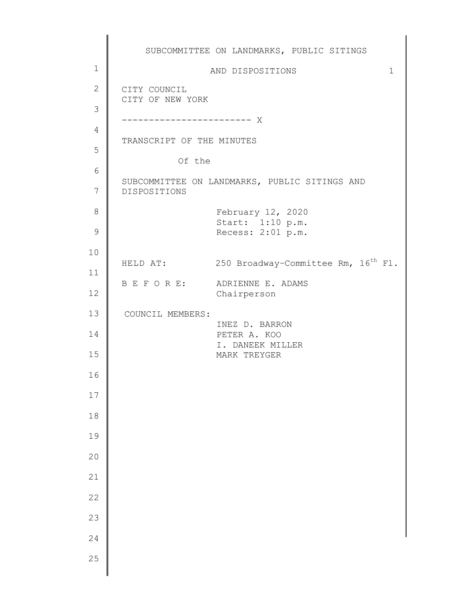|               | SUBCOMMITTEE ON LANDMARKS, PUBLIC SITINGS                     |
|---------------|---------------------------------------------------------------|
| $\mathbf 1$   | AND DISPOSITIONS<br>$\mathbf 1$                               |
| $\mathbf{2}$  | CITY COUNCIL<br>CITY OF NEW YORK                              |
| 3             |                                                               |
| 4             | TRANSCRIPT OF THE MINUTES                                     |
| 5             |                                                               |
| 6             | Of the                                                        |
| 7             | SUBCOMMITTEE ON LANDMARKS, PUBLIC SITINGS AND<br>DISPOSITIONS |
| $8\,$         | February 12, 2020<br>Start: 1:10 p.m.                         |
| $\mathcal{G}$ | Recess: 2:01 p.m.                                             |
| 10            |                                                               |
| 11            | HELD AT: 250 Broadway-Committee Rm, 16 <sup>th</sup> Fl.      |
| 12            | B E F O R E: ADRIENNE E. ADAMS<br>Chairperson                 |
| 13            | COUNCIL MEMBERS:                                              |
| 14            | INEZ D. BARRON<br>PETER A. KOO                                |
| 15            | I. DANEEK MILLER<br>MARK TREYGER                              |
| 16            |                                                               |
| $17\,$        |                                                               |
| $1\,8$        |                                                               |
| 19            |                                                               |
| 20            |                                                               |
| $21\,$        |                                                               |
| 22            |                                                               |
| 23            |                                                               |
| 24            |                                                               |
| 25            |                                                               |
|               |                                                               |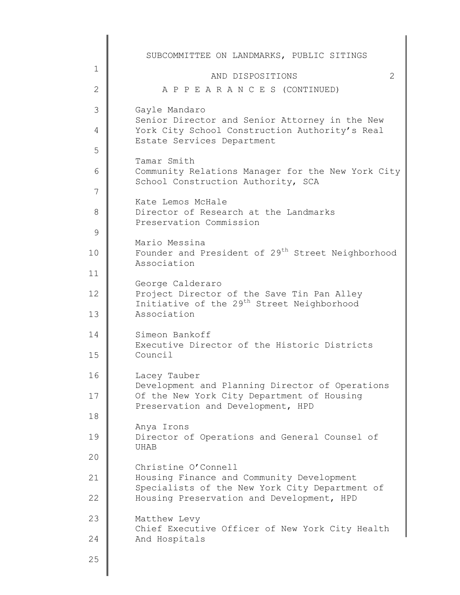|              | SUBCOMMITTEE ON LANDMARKS, PUBLIC SITINGS                                                                                |
|--------------|--------------------------------------------------------------------------------------------------------------------------|
| $\mathbf 1$  | AND DISPOSITIONS<br>2                                                                                                    |
| $\mathbf{2}$ | A P P E A R A N C E S (CONTINUED)                                                                                        |
| 3            | Gayle Mandaro                                                                                                            |
| 4            | Senior Director and Senior Attorney in the New<br>York City School Construction Authority's Real                         |
| 5            | Estate Services Department                                                                                               |
| 6            | Tamar Smith<br>Community Relations Manager for the New York City<br>School Construction Authority, SCA                   |
| 7            |                                                                                                                          |
| 8            | Kate Lemos McHale<br>Director of Research at the Landmarks<br>Preservation Commission                                    |
| $\mathsf 9$  |                                                                                                                          |
| 10           | Mario Messina<br>Founder and President of 29 <sup>th</sup> Street Neighborhood                                           |
| 11           | Association                                                                                                              |
| 12           | George Calderaro<br>Project Director of the Save Tin Pan Alley<br>Initiative of the 29 <sup>th</sup> Street Neighborhood |
| 13           | Association                                                                                                              |
| 14           | Simeon Bankoff<br>Executive Director of the Historic Districts                                                           |
| 15           | Council                                                                                                                  |
| 16           | Lacey Tauber<br>Development and Planning Director of Operations                                                          |
| 17           | Of the New York City Department of Housing<br>Preservation and Development, HPD                                          |
| 18           |                                                                                                                          |
| 19           | Anya Irons<br>Director of Operations and General Counsel of<br><b>UHAB</b>                                               |
| 20           | Christine O'Connell                                                                                                      |
| 21           | Housing Finance and Community Development                                                                                |
| 22           | Specialists of the New York City Department of<br>Housing Preservation and Development, HPD                              |
| 23           | Matthew Levy<br>Chief Executive Officer of New York City Health                                                          |
| 24           | And Hospitals                                                                                                            |
| 25           |                                                                                                                          |
|              |                                                                                                                          |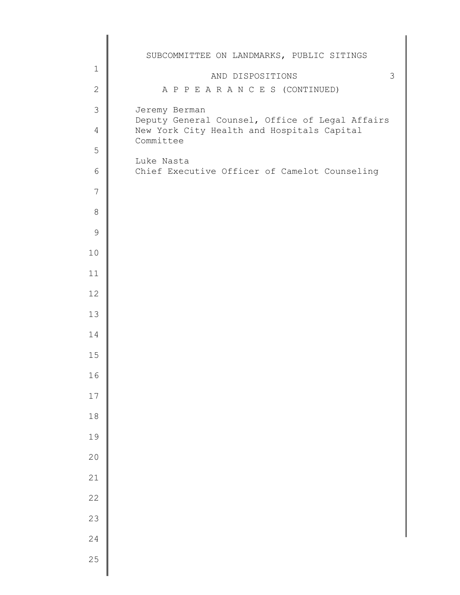|                | SUBCOMMITTEE ON LANDMARKS, PUBLIC SITINGS                                                                  |
|----------------|------------------------------------------------------------------------------------------------------------|
| $\mathbf 1$    | 3<br>AND DISPOSITIONS                                                                                      |
| $\overline{2}$ | A P P E A R A N C E S (CONTINUED)                                                                          |
| 3              | Jeremy Berman                                                                                              |
| $\overline{4}$ | Deputy General Counsel, Office of Legal Affairs<br>New York City Health and Hospitals Capital<br>Committee |
| 5              | Luke Nasta                                                                                                 |
| $6\,$          | Chief Executive Officer of Camelot Counseling                                                              |
| $\overline{7}$ |                                                                                                            |
| $\,8\,$        |                                                                                                            |
| $\mathcal{G}$  |                                                                                                            |
| 10             |                                                                                                            |
| 11             |                                                                                                            |
| 12             |                                                                                                            |
| 13             |                                                                                                            |
| 14             |                                                                                                            |
| 15             |                                                                                                            |
| 16             |                                                                                                            |
| $17$           |                                                                                                            |
| $18\,$         |                                                                                                            |
| 19             |                                                                                                            |
| $20$           |                                                                                                            |
| 21             |                                                                                                            |
| 22             |                                                                                                            |
| 23             |                                                                                                            |
| 24             |                                                                                                            |
| 25             |                                                                                                            |
|                |                                                                                                            |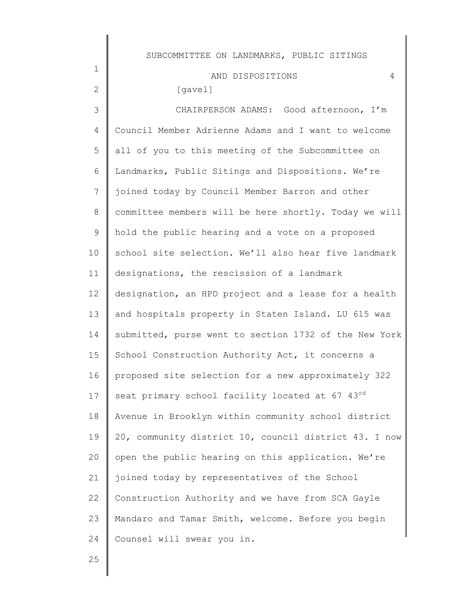| SUBCOMMITTEE ON LANDMARKS, PUBLIC SITINGS             |
|-------------------------------------------------------|
| AND DISPOSITIONS<br>4                                 |
| [gavel]                                               |
| CHAIRPERSON ADAMS: Good afternoon, I'm                |
| Council Member Adrienne Adams and I want to welcome   |
| all of you to this meeting of the Subcommittee on     |
| Landmarks, Public Sitings and Dispositions. We're     |
| joined today by Council Member Barron and other       |
| committee members will be here shortly. Today we will |
| hold the public hearing and a vote on a proposed      |
| school site selection. We'll also hear five landmark  |
| designations, the rescission of a landmark            |
| designation, an HPD project and a lease for a health  |
| and hospitals property in Staten Island. LU 615 was   |
| submitted, purse went to section 1732 of the New York |
| School Construction Authority Act, it concerns a      |
| proposed site selection for a new approximately 322   |
| seat primary school facility located at 67 43rd       |
| Avenue in Brooklyn within community school district   |
| 20, community district 10, council district 43. I now |
| open the public hearing on this application. We're    |
| joined today by representatives of the School         |
| Construction Authority and we have from SCA Gayle     |
| Mandaro and Tamar Smith, welcome. Before you begin    |
| Counsel will swear you in.                            |
|                                                       |

25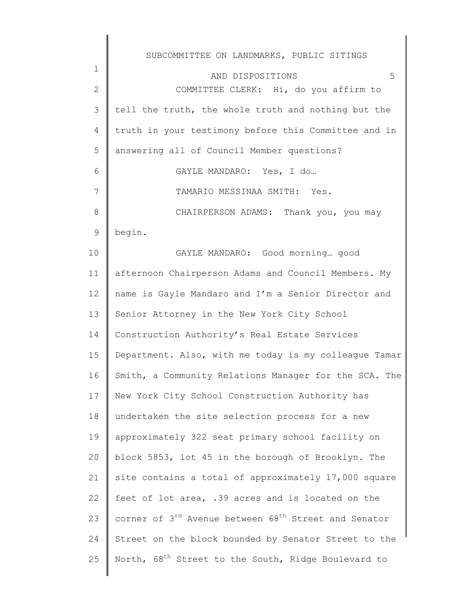| $\mathbf 1$    | SUBCOMMITTEE ON LANDMARKS, PUBLIC SITINGS                                    |
|----------------|------------------------------------------------------------------------------|
| $\mathbf{2}$   | 5<br>AND DISPOSITIONS<br>COMMITTEE CLERK: Hi, do you affirm to               |
| 3              | tell the truth, the whole truth and nothing but the                          |
| $\overline{4}$ | truth in your testimony before this Committee and in                         |
| 5              | answering all of Council Member questions?                                   |
| 6              | GAYLE MANDARO: Yes, I do                                                     |
|                |                                                                              |
| 7              | TAMARIO MESSINAA SMITH: Yes.                                                 |
| $8\,$          | CHAIRPERSON ADAMS: Thank you, you may                                        |
| 9              | begin.                                                                       |
| 10             | GAYLE MANDARO: Good morning good                                             |
| 11             | afternoon Chairperson Adams and Council Members. My                          |
| 12             | name is Gayle Mandaro and I'm a Senior Director and                          |
| 13             | Senior Attorney in the New York City School                                  |
| 14             | Construction Authority's Real Estate Services                                |
| 15             | Department. Also, with me today is my colleague Tamar                        |
| 16             | Smith, a Community Relations Manager for the SCA. The                        |
| 17             | New York City School Construction Authority has                              |
| 18             | undertaken the site selection process for a new                              |
| 19             | approximately 322 seat primary school facility on                            |
| 20             | block 5853, lot 45 in the borough of Brooklyn. The                           |
| 21             | site contains a total of approximately 17,000 square                         |
| 22             | feet of lot area, .39 acres and is located on the                            |
| 23             | corner of 3 <sup>rd</sup> Avenue between 68 <sup>th</sup> Street and Senator |
| 24             | Street on the block bounded by Senator Street to the                         |
| 25             | North, 68 <sup>th</sup> Street to the South, Ridge Boulevard to              |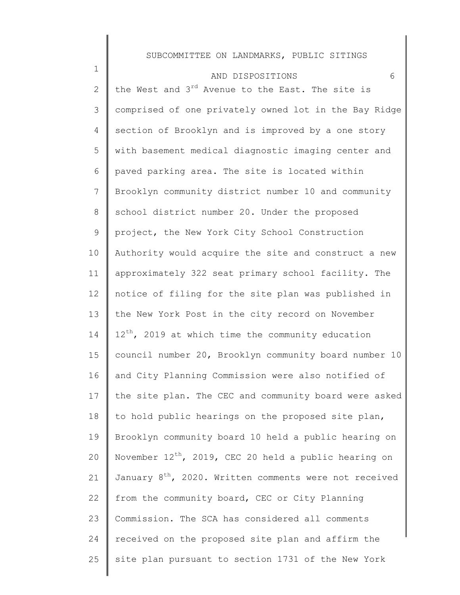| $\mathbf 1$     | 6<br>AND DISPOSITIONS                                              |
|-----------------|--------------------------------------------------------------------|
| $\mathbf{2}$    | the West and 3 <sup>rd</sup> Avenue to the East. The site is       |
| 3               | comprised of one privately owned lot in the Bay Ridge              |
| 4               | section of Brooklyn and is improved by a one story                 |
| 5               | with basement medical diagnostic imaging center and                |
| 6               | paved parking area. The site is located within                     |
| $7\phantom{.}$  | Brooklyn community district number 10 and community                |
| $8\,$           | school district number 20. Under the proposed                      |
| 9               | project, the New York City School Construction                     |
| 10 <sup>°</sup> | Authority would acquire the site and construct a new               |
| 11              | approximately 322 seat primary school facility. The                |
| 12              | notice of filing for the site plan was published in                |
| 13              | the New York Post in the city record on November                   |
| 14              | $12^{th}$ , 2019 at which time the community education             |
| 15              | council number 20, Brooklyn community board number 10              |
| 16              | and City Planning Commission were also notified of                 |
| 17              | the site plan. The CEC and community board were asked              |
| 18              | to hold public hearings on the proposed site plan,                 |
| 19              | Brooklyn community board 10 held a public hearing on               |
| 20              | November $12^{th}$ , 2019, CEC 20 held a public hearing on         |
| 21              | January 8 <sup>th</sup> , 2020. Written comments were not received |
| 22              | from the community board, CEC or City Planning                     |
| 23              | Commission. The SCA has considered all comments                    |
| 24              | received on the proposed site plan and affirm the                  |
| 25              | site plan pursuant to section 1731 of the New York                 |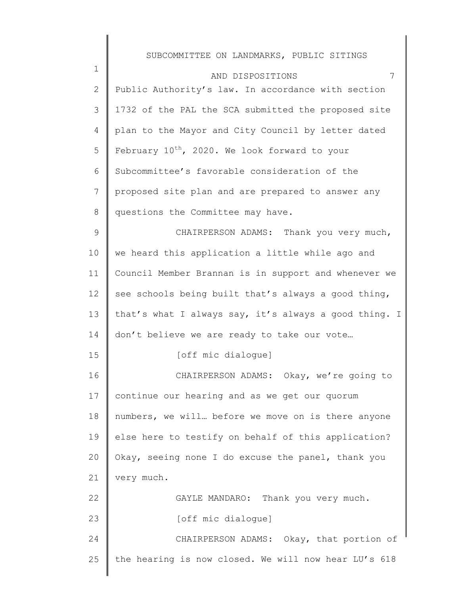| $\mathbf 1$ | 7<br>AND DISPOSITIONS                                     |
|-------------|-----------------------------------------------------------|
| 2           | Public Authority's law. In accordance with section        |
| 3           | 1732 of the PAL the SCA submitted the proposed site       |
| 4           | plan to the Mayor and City Council by letter dated        |
| 5           | February 10 <sup>th</sup> , 2020. We look forward to your |
| 6           | Subcommittee's favorable consideration of the             |
| 7           | proposed site plan and are prepared to answer any         |
| 8           | questions the Committee may have.                         |
| $\mathsf 9$ | CHAIRPERSON ADAMS: Thank you very much,                   |
| 10          | we heard this application a little while ago and          |
| 11          | Council Member Brannan is in support and whenever we      |
| 12          | see schools being built that's always a good thing,       |
| 13          | that's what I always say, it's always a good thing. I     |
| 14          | don't believe we are ready to take our vote               |
| 15          | [off mic dialogue]                                        |
| 16          | CHAIRPERSON ADAMS: Okay, we're going to                   |
| 17          | continue our hearing and as we get our quorum             |
| 18          | numbers, we will before we move on is there anyone        |
| 19          | else here to testify on behalf of this application?       |
| 20          | Okay, seeing none I do excuse the panel, thank you        |
| 21          | very much.                                                |
| 22          | GAYLE MANDARO: Thank you very much.                       |
| 23          | [off mic dialogue]                                        |
| 24          | CHAIRPERSON ADAMS: Okay, that portion of                  |
| 25          | the hearing is now closed. We will now hear LU's 618      |
|             |                                                           |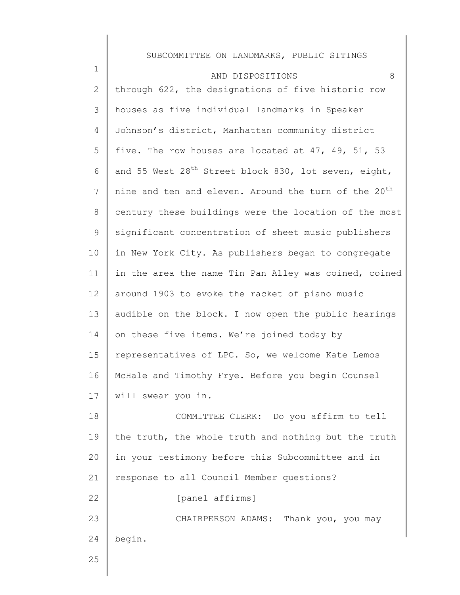| $\mathbf 1$ | 8<br>AND DISPOSITIONS                                            |
|-------------|------------------------------------------------------------------|
| 2           | through 622, the designations of five historic row               |
| 3           | houses as five individual landmarks in Speaker                   |
| 4           | Johnson's district, Manhattan community district                 |
| 5           | five. The row houses are located at 47, 49, 51, 53               |
| 6           | and 55 West 28 <sup>th</sup> Street block 830, lot seven, eight, |
| 7           | nine and ten and eleven. Around the turn of the 20 <sup>th</sup> |
| 8           | century these buildings were the location of the most            |
| 9           | significant concentration of sheet music publishers              |
| 10          | in New York City. As publishers began to congregate              |
| 11          | in the area the name Tin Pan Alley was coined, coined            |
| 12          | around 1903 to evoke the racket of piano music                   |
| 13          | audible on the block. I now open the public hearings             |
| 14          | on these five items. We're joined today by                       |
| 15          | representatives of LPC. So, we welcome Kate Lemos                |
| 16          | McHale and Timothy Frye. Before you begin Counsel                |
| 17          | will swear you in.                                               |
| 18          | COMMITTEE CLERK: Do you affirm to tell                           |
| 19          | the truth, the whole truth and nothing but the truth             |
| 20          | in your testimony before this Subcommittee and in                |
| 21          | response to all Council Member questions?                        |
| 22          | [panel affirms]                                                  |
| 23          | CHAIRPERSON ADAMS: Thank you, you may                            |
| 24          | begin.                                                           |
| 25          |                                                                  |
|             |                                                                  |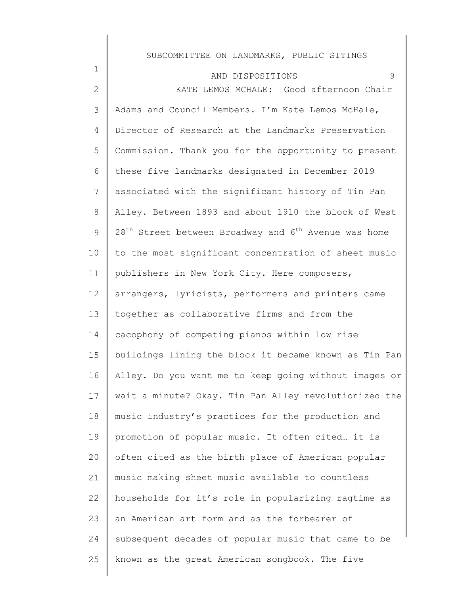#### AND DISPOSITIONS 9

1

2 3 4 5 6 7 8 9 10 11 12 13 14 15 16 17 18 19 20 21 22 23 24 25 KATE LEMOS MCHALE: Good afternoon Chair Adams and Council Members. I'm Kate Lemos McHale, Director of Research at the Landmarks Preservation Commission. Thank you for the opportunity to present these five landmarks designated in December 2019 associated with the significant history of Tin Pan Alley. Between 1893 and about 1910 the block of West  $28<sup>th</sup>$  Street between Broadway and  $6<sup>th</sup>$  Avenue was home to the most significant concentration of sheet music publishers in New York City. Here composers, arrangers, lyricists, performers and printers came together as collaborative firms and from the cacophony of competing pianos within low rise buildings lining the block it became known as Tin Pan Alley. Do you want me to keep going without images or wait a minute? Okay. Tin Pan Alley revolutionized the music industry's practices for the production and promotion of popular music. It often cited… it is often cited as the birth place of American popular music making sheet music available to countless households for it's role in popularizing ragtime as an American art form and as the forbearer of subsequent decades of popular music that came to be known as the great American songbook. The five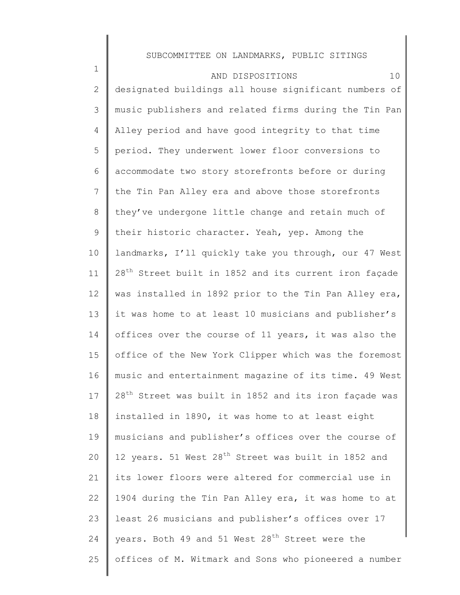| $\mathbf 1$    | 10<br>AND DISPOSITIONS                                            |
|----------------|-------------------------------------------------------------------|
| $\mathbf{2}$   | designated buildings all house significant numbers of             |
| 3              | music publishers and related firms during the Tin Pan             |
| 4              | Alley period and have good integrity to that time                 |
| 5              | period. They underwent lower floor conversions to                 |
| 6              | accommodate two story storefronts before or during                |
| $\overline{7}$ | the Tin Pan Alley era and above those storefronts                 |
| $8\,$          | they've undergone little change and retain much of                |
| 9              | their historic character. Yeah, yep. Among the                    |
| 10             | landmarks, I'll quickly take you through, our 47 West             |
| 11             | 28 <sup>th</sup> Street built in 1852 and its current iron façade |
| 12             | was installed in 1892 prior to the Tin Pan Alley era,             |
| 13             | it was home to at least 10 musicians and publisher's              |
| 14             | offices over the course of 11 years, it was also the              |
| 15             | office of the New York Clipper which was the foremost             |
| 16             | music and entertainment magazine of its time. 49 West             |
| 17             | 28 <sup>th</sup> Street was built in 1852 and its iron façade was |
| 18             | installed in 1890, it was home to at least eight                  |
| 19             | musicians and publisher's offices over the course of              |
| 20             | 12 years. 51 West 28 <sup>th</sup> Street was built in 1852 and   |
| 21             | its lower floors were altered for commercial use in               |
| 22             | 1904 during the Tin Pan Alley era, it was home to at              |
| 23             | least 26 musicians and publisher's offices over 17                |
| 24             | years. Both 49 and 51 West 28 <sup>th</sup> Street were the       |
| 25             | offices of M. Witmark and Sons who pioneered a number             |
|                |                                                                   |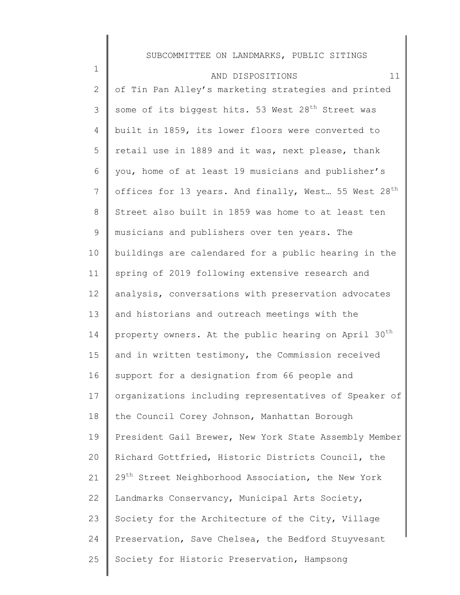| $\mathbf 1$    | 11<br>AND DISPOSITIONS                                           |
|----------------|------------------------------------------------------------------|
| $\mathbf{2}$   | of Tin Pan Alley's marketing strategies and printed              |
| 3              | some of its biggest hits. 53 West 28 <sup>th</sup> Street was    |
| 4              | built in 1859, its lower floors were converted to                |
| 5              | retail use in 1889 and it was, next please, thank                |
| 6              | you, home of at least 19 musicians and publisher's               |
| $\overline{7}$ | offices for 13 years. And finally, West 55 West 28 <sup>th</sup> |
| 8              | Street also built in 1859 was home to at least ten               |
| 9              | musicians and publishers over ten years. The                     |
| 10             | buildings are calendared for a public hearing in the             |
| 11             | spring of 2019 following extensive research and                  |
| 12             | analysis, conversations with preservation advocates              |
| 13             | and historians and outreach meetings with the                    |
| 14             | property owners. At the public hearing on April 30 <sup>th</sup> |
| 15             | and in written testimony, the Commission received                |
| 16             | support for a designation from 66 people and                     |
| 17             | organizations including representatives of Speaker of            |
| 18             | the Council Corey Johnson, Manhattan Borough                     |
| 19             | President Gail Brewer, New York State Assembly Member            |
| 20             | Richard Gottfried, Historic Districts Council, the               |
| 21             | 29 <sup>th</sup> Street Neighborhood Association, the New York   |
| 22             | Landmarks Conservancy, Municipal Arts Society,                   |
| 23             | Society for the Architecture of the City, Village                |
| 24             | Preservation, Save Chelsea, the Bedford Stuyvesant               |
| 25             | Society for Historic Preservation, Hampsong                      |
|                |                                                                  |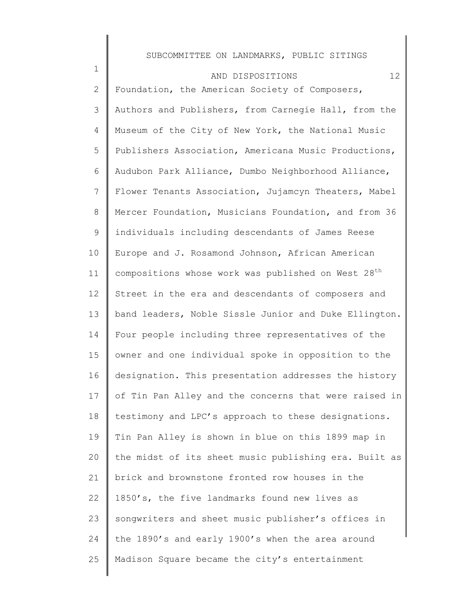| $\mathbf 1$    | 12<br>AND DISPOSITIONS                                         |
|----------------|----------------------------------------------------------------|
| 2              | Foundation, the American Society of Composers,                 |
| 3              | Authors and Publishers, from Carnegie Hall, from the           |
| 4              | Museum of the City of New York, the National Music             |
| 5              | Publishers Association, Americana Music Productions,           |
| 6              | Audubon Park Alliance, Dumbo Neighborhood Alliance,            |
| $7\phantom{.}$ | Flower Tenants Association, Jujamcyn Theaters, Mabel           |
| 8              | Mercer Foundation, Musicians Foundation, and from 36           |
| 9              | individuals including descendants of James Reese               |
| 10             | Europe and J. Rosamond Johnson, African American               |
| 11             | compositions whose work was published on West 28 <sup>th</sup> |
| 12             | Street in the era and descendants of composers and             |
| 13             | band leaders, Noble Sissle Junior and Duke Ellington.          |
| 14             | Four people including three representatives of the             |
| 15             | owner and one individual spoke in opposition to the            |
| 16             | designation. This presentation addresses the history           |
| 17             | of Tin Pan Alley and the concerns that were raised in          |
| 18             | testimony and LPC's approach to these designations.            |
| 19             | Tin Pan Alley is shown in blue on this 1899 map in             |
| 20             | the midst of its sheet music publishing era. Built as          |
| 21             | brick and brownstone fronted row houses in the                 |
| 22             | 1850's, the five landmarks found new lives as                  |
| 23             | songwriters and sheet music publisher's offices in             |
| 24             | the 1890's and early 1900's when the area around               |
| 25             | Madison Square became the city's entertainment                 |
|                |                                                                |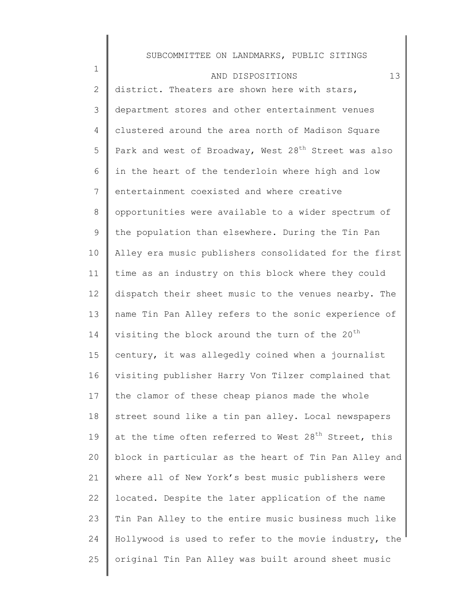| $\mathbf 1$     | 13<br>AND DISPOSITIONS                                           |
|-----------------|------------------------------------------------------------------|
| 2               | district. Theaters are shown here with stars,                    |
| 3               | department stores and other entertainment venues                 |
| 4               | clustered around the area north of Madison Square                |
| 5               | Park and west of Broadway, West 28 <sup>th</sup> Street was also |
| 6               | in the heart of the tenderloin where high and low                |
| $7\phantom{.0}$ | entertainment coexisted and where creative                       |
| 8               | opportunities were available to a wider spectrum of              |
| 9               | the population than elsewhere. During the Tin Pan                |
| 10              | Alley era music publishers consolidated for the first            |
| 11              | time as an industry on this block where they could               |
| 12              | dispatch their sheet music to the venues nearby. The             |
| 13              | name Tin Pan Alley refers to the sonic experience of             |
| 14              | visiting the block around the turn of the 20 <sup>th</sup>       |
| 15              | century, it was allegedly coined when a journalist               |
| 16              | visiting publisher Harry Von Tilzer complained that              |
| 17              | the clamor of these cheap pianos made the whole                  |
| 18              | street sound like a tin pan alley. Local newspapers              |
| 19              | at the time often referred to West 28 <sup>th</sup> Street, this |
| 20              | block in particular as the heart of Tin Pan Alley and            |
| 21              | where all of New York's best music publishers were               |
| 22              | located. Despite the later application of the name               |
| 23              | Tin Pan Alley to the entire music business much like             |
| 24              | Hollywood is used to refer to the movie industry, the            |
| 25              | original Tin Pan Alley was built around sheet music              |
|                 |                                                                  |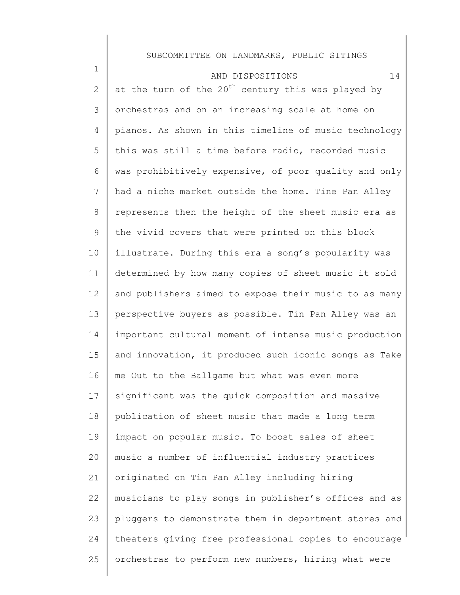| $\mathbf 1$    | 14<br>AND DISPOSITIONS                                |
|----------------|-------------------------------------------------------|
| $\mathbf{2}$   | at the turn of the $20th$ century this was played by  |
| 3              | orchestras and on an increasing scale at home on      |
| $\overline{4}$ | pianos. As shown in this timeline of music technology |
| 5              | this was still a time before radio, recorded music    |
| 6              | was prohibitively expensive, of poor quality and only |
| 7              | had a niche market outside the home. Tine Pan Alley   |
| 8              | represents then the height of the sheet music era as  |
| $\mathsf 9$    | the vivid covers that were printed on this block      |
| 10             | illustrate. During this era a song's popularity was   |
| 11             | determined by how many copies of sheet music it sold  |
| 12             | and publishers aimed to expose their music to as many |
| 13             | perspective buyers as possible. Tin Pan Alley was an  |
| 14             | important cultural moment of intense music production |
| 15             | and innovation, it produced such iconic songs as Take |
| 16             | me Out to the Ballgame but what was even more         |
| 17             | significant was the quick composition and massive     |
| 18             | publication of sheet music that made a long term      |
| 19             | impact on popular music. To boost sales of sheet      |
| 20             | music a number of influential industry practices      |
| 21             | originated on Tin Pan Alley including hiring          |
| 22             | musicians to play songs in publisher's offices and as |
| 23             | pluggers to demonstrate them in department stores and |
| 24             | theaters giving free professional copies to encourage |
| 25             | orchestras to perform new numbers, hiring what were   |
|                |                                                       |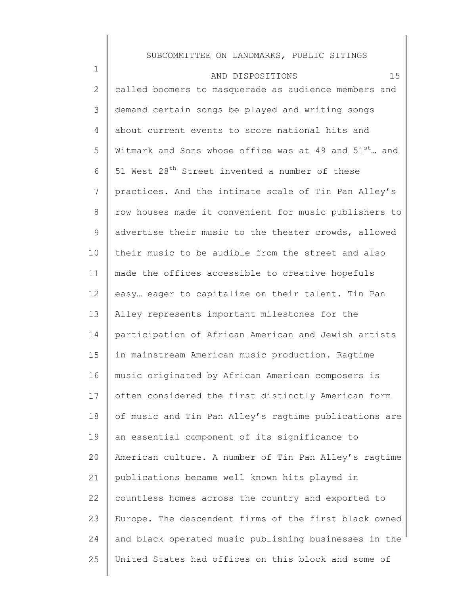1 2 3 4 5 6 7 8 9 10 11 12 13 14 15 16 17 18 19 20 21 22 23 24 25 AND DISPOSITIONS 15 called boomers to masquerade as audience members and demand certain songs be played and writing songs about current events to score national hits and Witmark and Sons whose office was at 49 and 51<sup>st</sup>... and 51 West 28<sup>th</sup> Street invented a number of these practices. And the intimate scale of Tin Pan Alley's row houses made it convenient for music publishers to advertise their music to the theater crowds, allowed their music to be audible from the street and also made the offices accessible to creative hopefuls easy… eager to capitalize on their talent. Tin Pan Alley represents important milestones for the participation of African American and Jewish artists in mainstream American music production. Ragtime music originated by African American composers is often considered the first distinctly American form of music and Tin Pan Alley's ragtime publications are an essential component of its significance to American culture. A number of Tin Pan Alley's ragtime publications became well known hits played in countless homes across the country and exported to Europe. The descendent firms of the first black owned and black operated music publishing businesses in the United States had offices on this block and some of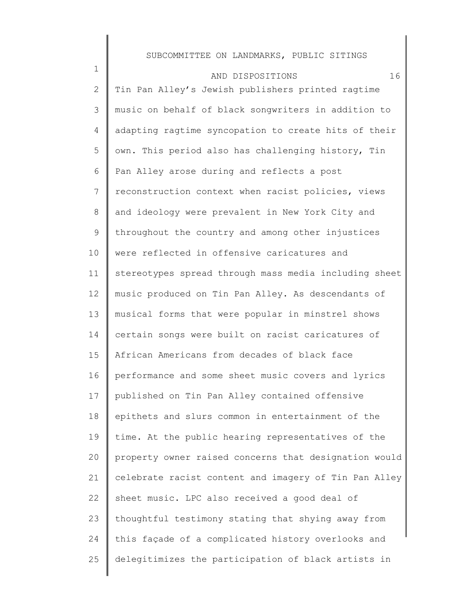| $\mathbf 1$    | 16<br>AND DISPOSITIONS                                |
|----------------|-------------------------------------------------------|
| 2              | Tin Pan Alley's Jewish publishers printed ragtime     |
| 3              | music on behalf of black songwriters in addition to   |
| $\overline{4}$ | adapting ragtime syncopation to create hits of their  |
| 5              | own. This period also has challenging history, Tin    |
| 6              | Pan Alley arose during and reflects a post            |
| 7              | reconstruction context when racist policies, views    |
| 8              | and ideology were prevalent in New York City and      |
| 9              | throughout the country and among other injustices     |
| 10             | were reflected in offensive caricatures and           |
| 11             | stereotypes spread through mass media including sheet |
| 12             | music produced on Tin Pan Alley. As descendants of    |
| 13             | musical forms that were popular in minstrel shows     |
| 14             | certain songs were built on racist caricatures of     |
| 15             | African Americans from decades of black face          |
| 16             | performance and some sheet music covers and lyrics    |
| 17             | published on Tin Pan Alley contained offensive        |
| 18             | epithets and slurs common in entertainment of the     |
| 19             | time. At the public hearing representatives of the    |
| 20             | property owner raised concerns that designation would |
| 21             | celebrate racist content and imagery of Tin Pan Alley |
| 22             | sheet music. LPC also received a good deal of         |
| 23             | thoughtful testimony stating that shying away from    |
| 24             | this façade of a complicated history overlooks and    |
| 25             | delegitimizes the participation of black artists in   |
|                |                                                       |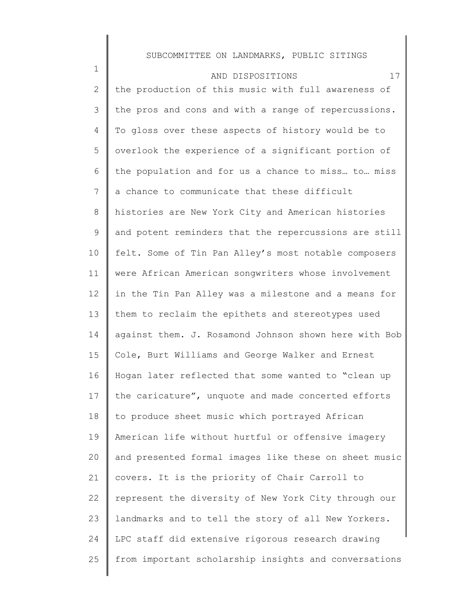| $\mathbf 1$    | 17<br>AND DISPOSITIONS                                |
|----------------|-------------------------------------------------------|
| 2              | the production of this music with full awareness of   |
| 3              | the pros and cons and with a range of repercussions.  |
| 4              | To gloss over these aspects of history would be to    |
| 5              | overlook the experience of a significant portion of   |
| 6              | the population and for us a chance to miss to miss    |
| $7\phantom{.}$ | a chance to communicate that these difficult          |
| 8              | histories are New York City and American histories    |
| 9              | and potent reminders that the repercussions are still |
| 10             | felt. Some of Tin Pan Alley's most notable composers  |
| 11             | were African American songwriters whose involvement   |
| 12             | in the Tin Pan Alley was a milestone and a means for  |
| 13             | them to reclaim the epithets and stereotypes used     |
| 14             | against them. J. Rosamond Johnson shown here with Bob |
| 15             | Cole, Burt Williams and George Walker and Ernest      |
| 16             | Hogan later reflected that some wanted to "clean up   |
| 17             | the caricature", unquote and made concerted efforts   |
| 18             | to produce sheet music which portrayed African        |
| 19             | American life without hurtful or offensive imagery    |
| 20             | and presented formal images like these on sheet music |
| 21             | covers. It is the priority of Chair Carroll to        |
| 22             | represent the diversity of New York City through our  |
| 23             | landmarks and to tell the story of all New Yorkers.   |
| 24             | LPC staff did extensive rigorous research drawing     |
| 25             | from important scholarship insights and conversations |
|                |                                                       |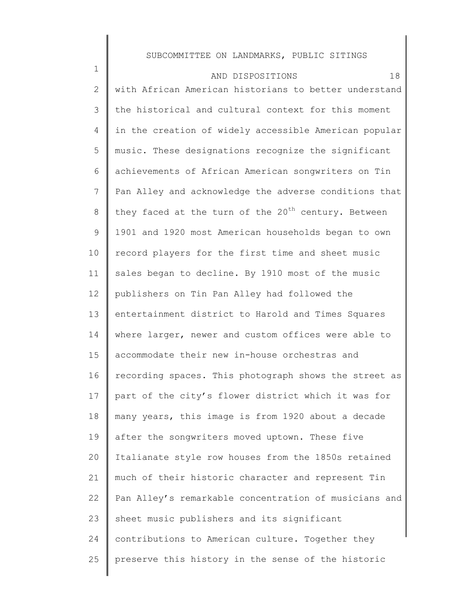1 2 3 4 5 6 7 8 9 10 11 12 13 14 15 16 17 18 19 20 21 22 23 24 25 AND DISPOSITIONS 18 with African American historians to better understand the historical and cultural context for this moment in the creation of widely accessible American popular music. These designations recognize the significant achievements of African American songwriters on Tin Pan Alley and acknowledge the adverse conditions that they faced at the turn of the  $20^{th}$  century. Between 1901 and 1920 most American households began to own record players for the first time and sheet music sales began to decline. By 1910 most of the music publishers on Tin Pan Alley had followed the entertainment district to Harold and Times Squares where larger, newer and custom offices were able to accommodate their new in-house orchestras and recording spaces. This photograph shows the street as part of the city's flower district which it was for many years, this image is from 1920 about a decade after the songwriters moved uptown. These five Italianate style row houses from the 1850s retained much of their historic character and represent Tin Pan Alley's remarkable concentration of musicians and sheet music publishers and its significant contributions to American culture. Together they preserve this history in the sense of the historic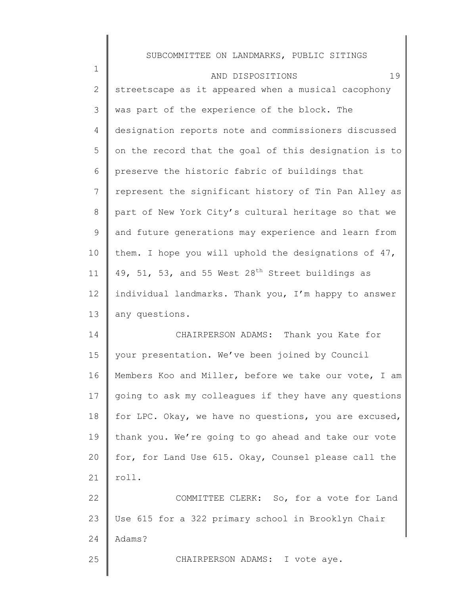| $\mathbf 1$     | 19<br>AND DISPOSITIONS                                |
|-----------------|-------------------------------------------------------|
| $\mathbf{2}$    | streetscape as it appeared when a musical cacophony   |
| 3               | was part of the experience of the block. The          |
| 4               | designation reports note and commissioners discussed  |
| 5               | on the record that the goal of this designation is to |
| 6               | preserve the historic fabric of buildings that        |
| $7\phantom{.0}$ | represent the significant history of Tin Pan Alley as |
| 8               | part of New York City's cultural heritage so that we  |
| 9               | and future generations may experience and learn from  |
| 10              | them. I hope you will uphold the designations of 47,  |
| 11              | 49, 51, 53, and 55 West $28th$ Street buildings as    |
| 12              | individual landmarks. Thank you, I'm happy to answer  |
| 13              | any questions.                                        |
| 14              | CHAIRPERSON ADAMS: Thank you Kate for                 |
| 15              | your presentation. We've been joined by Council       |
| 16              | Members Koo and Miller, before we take our vote, I am |
| 17              | going to ask my colleagues if they have any questions |
| 18              | for LPC. Okay, we have no questions, you are excused, |
| 19              | thank you. We're going to go ahead and take our vote  |
| 20              | for, for Land Use 615. Okay, Counsel please call the  |
| 21              | roll.                                                 |
| 22              | COMMITTEE CLERK: So, for a vote for Land              |
| 23              | Use 615 for a 322 primary school in Brooklyn Chair    |
| 24              | Adams?                                                |
| 25              | CHAIRPERSON ADAMS: I vote aye.                        |
|                 |                                                       |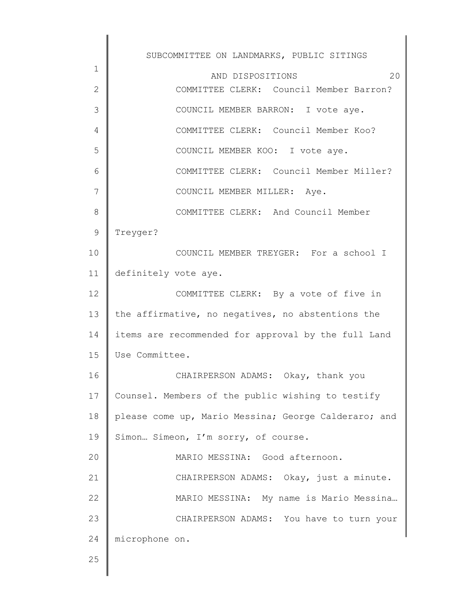1 2 3 4 5 6 7 8 9 10 11 12 13 14 15 16 17 18 19 20 21 22 23 24 25 SUBCOMMITTEE ON LANDMARKS, PUBLIC SITINGS AND DISPOSITIONS 20 COMMITTEE CLERK: Council Member Barron? COUNCIL MEMBER BARRON: I vote aye. COMMITTEE CLERK: Council Member Koo? COUNCIL MEMBER KOO: I vote aye. COMMITTEE CLERK: Council Member Miller? COUNCIL MEMBER MILLER: Aye. COMMITTEE CLERK: And Council Member Treyger? COUNCIL MEMBER TREYGER: For a school I definitely vote aye. COMMITTEE CLERK: By a vote of five in the affirmative, no negatives, no abstentions the items are recommended for approval by the full Land Use Committee. CHAIRPERSON ADAMS: Okay, thank you Counsel. Members of the public wishing to testify please come up, Mario Messina; George Calderaro; and Simon… Simeon, I'm sorry, of course. MARIO MESSINA: Good afternoon. CHAIRPERSON ADAMS: Okay, just a minute. MARIO MESSINA: My name is Mario Messina… CHAIRPERSON ADAMS: You have to turn your microphone on.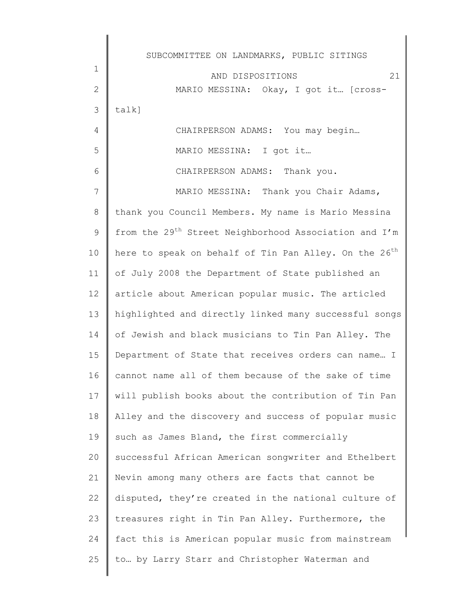1 2 3 4 5 6 7 8 9 10 11 12 13 14 15 16 17 18 19 20 21 22 23 24 25 AND DISPOSITIONS 21 MARIO MESSINA: Okay, I got it… [crosstalk] CHAIRPERSON ADAMS: You may begin… MARIO MESSINA: I got it… CHAIRPERSON ADAMS: Thank you. MARIO MESSINA: Thank you Chair Adams, thank you Council Members. My name is Mario Messina from the 29<sup>th</sup> Street Neighborhood Association and I'm here to speak on behalf of Tin Pan Alley. On the 26<sup>th</sup> of July 2008 the Department of State published an article about American popular music. The articled highlighted and directly linked many successful songs of Jewish and black musicians to Tin Pan Alley. The Department of State that receives orders can name… I cannot name all of them because of the sake of time will publish books about the contribution of Tin Pan Alley and the discovery and success of popular music such as James Bland, the first commercially successful African American songwriter and Ethelbert Nevin among many others are facts that cannot be disputed, they're created in the national culture of treasures right in Tin Pan Alley. Furthermore, the fact this is American popular music from mainstream to… by Larry Starr and Christopher Waterman and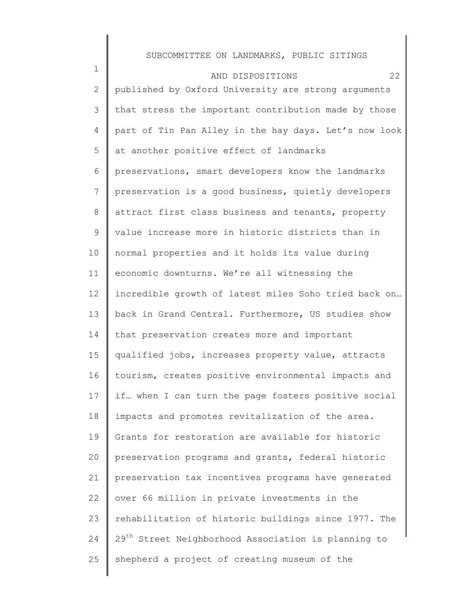| $\mathbf 1$    | 22<br>AND DISPOSITIONS                                          |
|----------------|-----------------------------------------------------------------|
| $\overline{2}$ | published by Oxford University are strong arguments             |
| 3              | that stress the important contribution made by those            |
| 4              | part of Tin Pan Alley in the hay days. Let's now look           |
| 5              | at another positive effect of landmarks                         |
| 6              | preservations, smart developers know the landmarks              |
| 7              | preservation is a good business, quietly developers             |
| $8\,$          | attract first class business and tenants, property              |
| 9              | value increase more in historic districts than in               |
| 10             | normal properties and it holds its value during                 |
| 11             | economic downturns. We're all witnessing the                    |
| 12             | incredible growth of latest miles Soho tried back on            |
| 13             | back in Grand Central. Furthermore, US studies show             |
| 14             | that preservation creates more and important                    |
| 15             | qualified jobs, increases property value, attracts              |
| 16             | tourism, creates positive environmental impacts and             |
| 17             | if when I can turn the page fosters positive social             |
| 18             | impacts and promotes revitalization of the area.                |
| 19             | Grants for restoration are available for historic               |
| 20             | preservation programs and grants, federal historic              |
| 21             | preservation tax incentives programs have generated             |
| 22             | over 66 million in private investments in the                   |
| 23             | rehabilitation of historic buildings since 1977. The            |
| 24             | 29 <sup>th</sup> Street Neighborhood Association is planning to |
| 25             | shepherd a project of creating museum of the                    |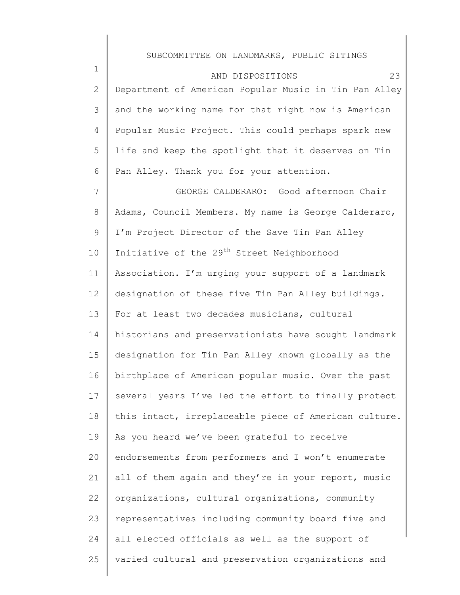| $\mathbf 1$    | 23<br>AND DISPOSITIONS                                 |
|----------------|--------------------------------------------------------|
| $\overline{2}$ | Department of American Popular Music in Tin Pan Alley  |
| 3              | and the working name for that right now is American    |
| 4              | Popular Music Project. This could perhaps spark new    |
| 5              | life and keep the spotlight that it deserves on Tin    |
| 6              | Pan Alley. Thank you for your attention.               |
| 7              | GEORGE CALDERARO: Good afternoon Chair                 |
| 8              | Adams, Council Members. My name is George Calderaro,   |
| 9              | I'm Project Director of the Save Tin Pan Alley         |
| 10             | Initiative of the 29 <sup>th</sup> Street Neighborhood |
| 11             | Association. I'm urging your support of a landmark     |
| 12             | designation of these five Tin Pan Alley buildings.     |
| 13             | For at least two decades musicians, cultural           |
| 14             | historians and preservationists have sought landmark   |
| 15             | designation for Tin Pan Alley known globally as the    |
| 16             | birthplace of American popular music. Over the past    |
| 17             | several years I've led the effort to finally protect   |
| 18             | this intact, irreplaceable piece of American culture.  |
| 19             | As you heard we've been grateful to receive            |
| 20             | endorsements from performers and I won't enumerate     |
| 21             | all of them again and they're in your report, music    |
| 22             | organizations, cultural organizations, community       |
| 23             | representatives including community board five and     |
| 24             | all elected officials as well as the support of        |
| 25             | varied cultural and preservation organizations and     |
|                |                                                        |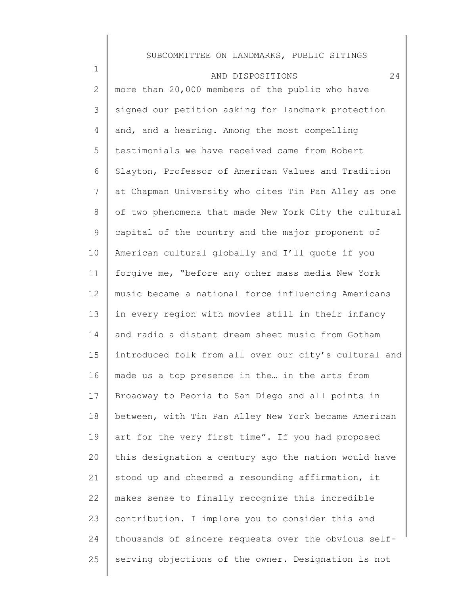| $\mathbf 1$    | 24<br>AND DISPOSITIONS                                |
|----------------|-------------------------------------------------------|
| $\overline{2}$ | more than 20,000 members of the public who have       |
| 3              | signed our petition asking for landmark protection    |
| 4              | and, and a hearing. Among the most compelling         |
| 5              | testimonials we have received came from Robert        |
| 6              | Slayton, Professor of American Values and Tradition   |
| $7\phantom{.}$ | at Chapman University who cites Tin Pan Alley as one  |
| 8              | of two phenomena that made New York City the cultural |
| 9              | capital of the country and the major proponent of     |
| 10             | American cultural globally and I'll quote if you      |
| 11             | forgive me, "before any other mass media New York     |
| 12             | music became a national force influencing Americans   |
| 13             | in every region with movies still in their infancy    |
| 14             | and radio a distant dream sheet music from Gotham     |
| 15             | introduced folk from all over our city's cultural and |
| 16             | made us a top presence in the in the arts from        |
| 17             | Broadway to Peoria to San Diego and all points in     |
| 18             | between, with Tin Pan Alley New York became American  |
| 19             | art for the very first time". If you had proposed     |
| 20             | this designation a century ago the nation would have  |
| 21             | stood up and cheered a resounding affirmation, it     |
| 22             | makes sense to finally recognize this incredible      |
| 23             | contribution. I implore you to consider this and      |
| 24             | thousands of sincere requests over the obvious self-  |
| 25             | serving objections of the owner. Designation is not   |
|                |                                                       |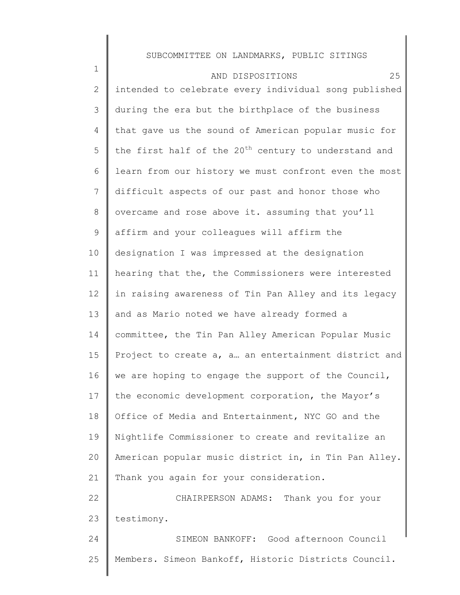1 2 3 4 5 6 7 8 9 10 11 12 13 14 15 16 17 18 19 20 21 22 23 24 25 AND DISPOSITIONS 25 intended to celebrate every individual song published during the era but the birthplace of the business that gave us the sound of American popular music for the first half of the  $20<sup>th</sup>$  century to understand and learn from our history we must confront even the most difficult aspects of our past and honor those who overcame and rose above it. assuming that you'll affirm and your colleagues will affirm the designation I was impressed at the designation hearing that the, the Commissioners were interested in raising awareness of Tin Pan Alley and its legacy and as Mario noted we have already formed a committee, the Tin Pan Alley American Popular Music Project to create a, a… an entertainment district and we are hoping to engage the support of the Council, the economic development corporation, the Mayor's Office of Media and Entertainment, NYC GO and the Nightlife Commissioner to create and revitalize an American popular music district in, in Tin Pan Alley. Thank you again for your consideration. CHAIRPERSON ADAMS: Thank you for your testimony. SIMEON BANKOFF: Good afternoon Council Members. Simeon Bankoff, Historic Districts Council.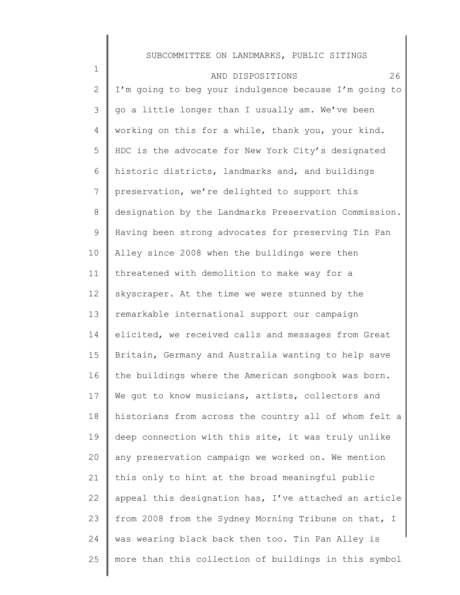| $\mathbf 1$  | 26<br>AND DISPOSITIONS                                |
|--------------|-------------------------------------------------------|
| $\mathbf{2}$ | I'm going to beg your indulgence because I'm going to |
| 3            | go a little longer than I usually am. We've been      |
| 4            | working on this for a while, thank you, your kind.    |
| 5            | HDC is the advocate for New York City's designated    |
| 6            | historic districts, landmarks and, and buildings      |
| 7            | preservation, we're delighted to support this         |
| 8            | designation by the Landmarks Preservation Commission. |
| 9            | Having been strong advocates for preserving Tin Pan   |
| 10           | Alley since 2008 when the buildings were then         |
| 11           | threatened with demolition to make way for a          |
| 12           | skyscraper. At the time we were stunned by the        |
| 13           | remarkable international support our campaign         |
| 14           | elicited, we received calls and messages from Great   |
| 15           | Britain, Germany and Australia wanting to help save   |
| 16           | the buildings where the American songbook was born.   |
| 17           | We got to know musicians, artists, collectors and     |
| 18           | historians from across the country all of whom felt a |
| 19           | deep connection with this site, it was truly unlike   |
| 20           | any preservation campaign we worked on. We mention    |
| 21           | this only to hint at the broad meaningful public      |
| 22           | appeal this designation has, I've attached an article |
| 23           | from 2008 from the Sydney Morning Tribune on that, I  |
| 24           | was wearing black back then too. Tin Pan Alley is     |
| 25           | more than this collection of buildings in this symbol |
|              |                                                       |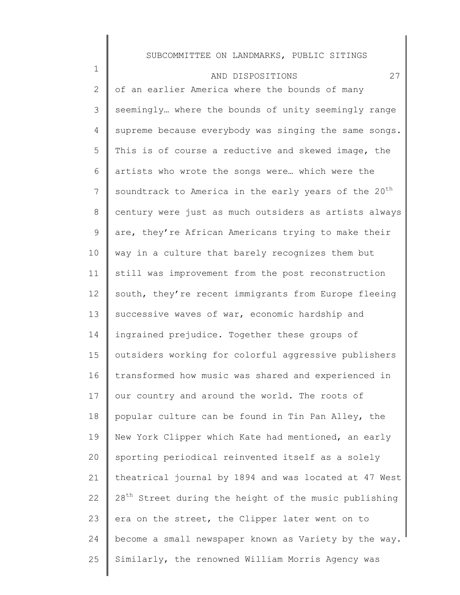| $\mathbf 1$     | 27<br>AND DISPOSITIONS                                            |
|-----------------|-------------------------------------------------------------------|
| 2               | of an earlier America where the bounds of many                    |
| 3               | seemingly where the bounds of unity seemingly range               |
| $\overline{4}$  | supreme because everybody was singing the same songs.             |
| 5               | This is of course a reductive and skewed image, the               |
| 6               | artists who wrote the songs were which were the                   |
| $7\phantom{.0}$ | soundtrack to America in the early years of the 20 <sup>th</sup>  |
| 8               | century were just as much outsiders as artists always             |
| 9               | are, they're African Americans trying to make their               |
| 10              | way in a culture that barely recognizes them but                  |
| 11              | still was improvement from the post reconstruction                |
| 12              | south, they're recent immigrants from Europe fleeing              |
| 13              | successive waves of war, economic hardship and                    |
| 14              | ingrained prejudice. Together these groups of                     |
| 15              | outsiders working for colorful aggressive publishers              |
| 16              | transformed how music was shared and experienced in               |
| 17              | our country and around the world. The roots of                    |
| 18              | popular culture can be found in Tin Pan Alley, the                |
| 19              | New York Clipper which Kate had mentioned, an early               |
| 20              | sporting periodical reinvented itself as a solely                 |
| 21              | theatrical journal by 1894 and was located at 47 West             |
| 22              | 28 <sup>th</sup> Street during the height of the music publishing |
| 23              | era on the street, the Clipper later went on to                   |
| 24              | become a small newspaper known as Variety by the way.             |
| 25              | Similarly, the renowned William Morris Agency was                 |
|                 |                                                                   |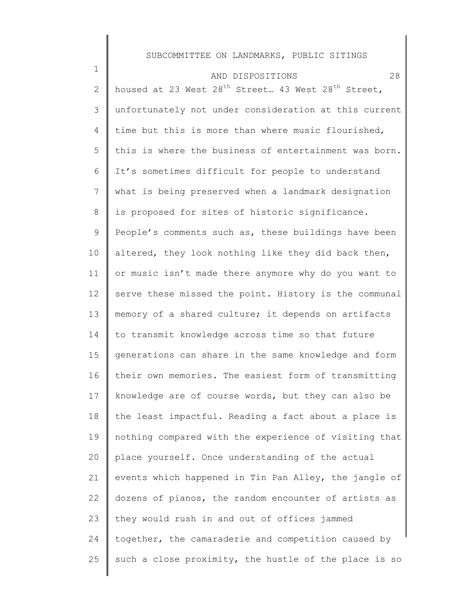| $\mathbf 1$  | 28<br>AND DISPOSITIONS                                                     |
|--------------|----------------------------------------------------------------------------|
| $\mathbf{2}$ | housed at 23 West 28 <sup>th</sup> Street 43 West 28 <sup>th</sup> Street, |
| 3            | unfortunately not under consideration at this current                      |
| 4            | time but this is more than where music flourished,                         |
| 5            | this is where the business of entertainment was born.                      |
| 6            | It's sometimes difficult for people to understand                          |
| 7            | what is being preserved when a landmark designation                        |
| 8            | is proposed for sites of historic significance.                            |
| $\mathsf 9$  | People's comments such as, these buildings have been                       |
| 10           | altered, they look nothing like they did back then,                        |
| 11           | or music isn't made there anymore why do you want to                       |
| 12           | serve these missed the point. History is the communal                      |
| 13           | memory of a shared culture; it depends on artifacts                        |
| 14           | to transmit knowledge across time so that future                           |
| 15           | generations can share in the same knowledge and form                       |
| 16           | their own memories. The easiest form of transmitting                       |
| 17           | knowledge are of course words, but they can also be                        |
| 18           | the least impactful. Reading a fact about a place is                       |
| 19           | nothing compared with the experience of visiting that                      |
| 20           | place yourself. Once understanding of the actual                           |
| 21           | events which happened in Tin Pan Alley, the jangle of                      |
| 22           | dozens of pianos, the random encounter of artists as                       |
| 23           | they would rush in and out of offices jammed                               |
| 24           | together, the camaraderie and competition caused by                        |
| 25           | such a close proximity, the hustle of the place is so                      |
|              |                                                                            |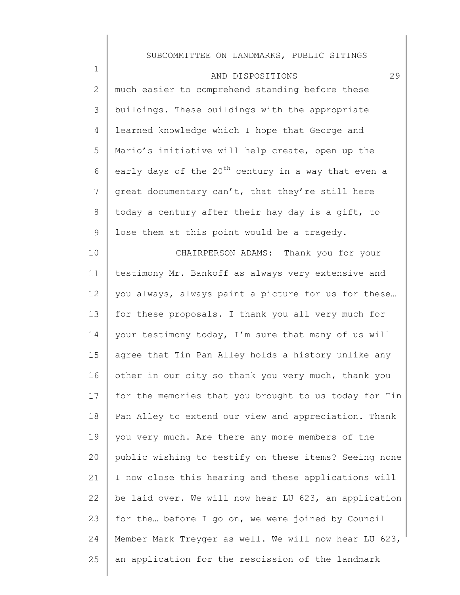| $\mathbf 1$  | 29<br>AND DISPOSITIONS                                          |
|--------------|-----------------------------------------------------------------|
| $\mathbf{2}$ | much easier to comprehend standing before these                 |
| 3            | buildings. These buildings with the appropriate                 |
| 4            | learned knowledge which I hope that George and                  |
| 5            | Mario's initiative will help create, open up the                |
| 6            | early days of the 20 <sup>th</sup> century in a way that even a |
| 7            | great documentary can't, that they're still here                |
| 8            | today a century after their hay day is a gift, to               |
| 9            | lose them at this point would be a tragedy.                     |
| 10           | CHAIRPERSON ADAMS: Thank you for your                           |
| 11           | testimony Mr. Bankoff as always very extensive and              |
| 12           | you always, always paint a picture for us for these             |
| 13           | for these proposals. I thank you all very much for              |
| 14           | your testimony today, I'm sure that many of us will             |
| 15           | agree that Tin Pan Alley holds a history unlike any             |
| 16           | other in our city so thank you very much, thank you             |
| 17           | for the memories that you brought to us today for Tin           |
| 18           | Pan Alley to extend our view and appreciation. Thank            |
| 19           | you very much. Are there any more members of the                |
| 20           | public wishing to testify on these items? Seeing none           |
| 21           | I now close this hearing and these applications will            |
| 22           | be laid over. We will now hear LU 623, an application           |
| 23           | for the before I go on, we were joined by Council               |
| 24           | Member Mark Treyger as well. We will now hear LU 623,           |
| 25           | an application for the rescission of the landmark               |
|              |                                                                 |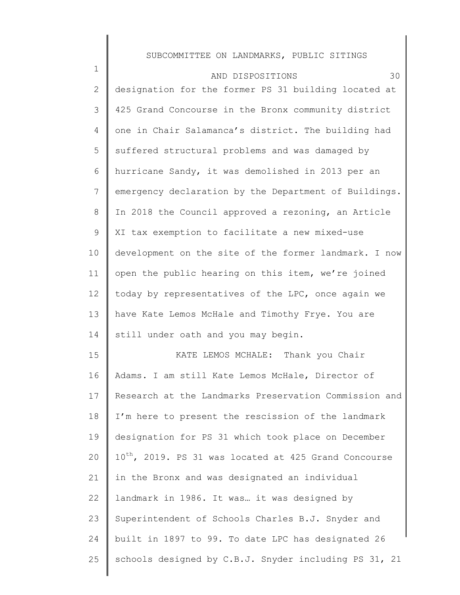| $\mathbf 1$     | 30<br>AND DISPOSITIONS                                            |
|-----------------|-------------------------------------------------------------------|
| $\mathbf{2}$    | designation for the former PS 31 building located at              |
| 3               | 425 Grand Concourse in the Bronx community district               |
| 4               | one in Chair Salamanca's district. The building had               |
| 5               | suffered structural problems and was damaged by                   |
| 6               | hurricane Sandy, it was demolished in 2013 per an                 |
| $7\phantom{.0}$ | emergency declaration by the Department of Buildings.             |
| 8               | In 2018 the Council approved a rezoning, an Article               |
| 9               | XI tax exemption to facilitate a new mixed-use                    |
| 10              | development on the site of the former landmark. I now             |
| 11              | open the public hearing on this item, we're joined                |
| 12              | today by representatives of the LPC, once again we                |
| 13              | have Kate Lemos McHale and Timothy Frye. You are                  |
| 14              | still under oath and you may begin.                               |
| 15              | KATE LEMOS MCHALE: Thank you Chair                                |
| 16              | Adams. I am still Kate Lemos McHale, Director of                  |
| 17              | Research at the Landmarks Preservation Commission and             |
| 18              | I'm here to present the rescission of the landmark                |
| 19              | designation for PS 31 which took place on December                |
| 20              | 10 <sup>th</sup> , 2019. PS 31 was located at 425 Grand Concourse |
| 21              | in the Bronx and was designated an individual                     |
| 22              | landmark in 1986. It was it was designed by                       |
| 23              | Superintendent of Schools Charles B.J. Snyder and                 |
| 24              | built in 1897 to 99. To date LPC has designated 26                |
| 25              | schools designed by C.B.J. Snyder including PS 31, 21             |
|                 |                                                                   |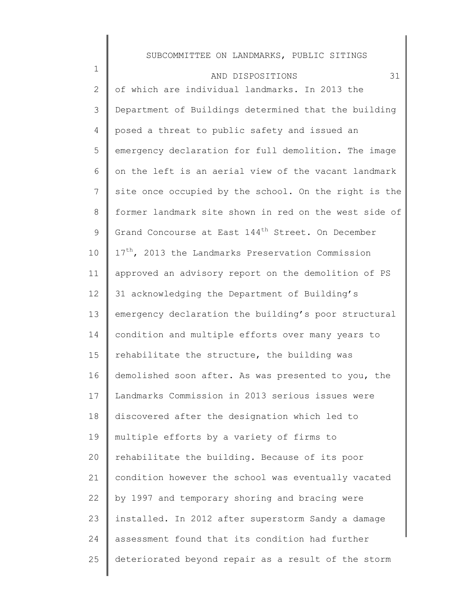| $\mathbf 1$    | 31<br>AND DISPOSITIONS                                        |
|----------------|---------------------------------------------------------------|
| $\mathbf{2}$   | of which are individual landmarks. In 2013 the                |
| 3              | Department of Buildings determined that the building          |
| $\overline{4}$ | posed a threat to public safety and issued an                 |
| 5              | emergency declaration for full demolition. The image          |
| 6              | on the left is an aerial view of the vacant landmark          |
| $7\phantom{.}$ | site once occupied by the school. On the right is the         |
| $8\,$          | former landmark site shown in red on the west side of         |
| 9              | Grand Concourse at East 144 <sup>th</sup> Street. On December |
| 10             | 17 <sup>th</sup> , 2013 the Landmarks Preservation Commission |
| 11             | approved an advisory report on the demolition of PS           |
| 12             | 31 acknowledging the Department of Building's                 |
| 13             | emergency declaration the building's poor structural          |
| 14             | condition and multiple efforts over many years to             |
| 15             | rehabilitate the structure, the building was                  |
| 16             | demolished soon after. As was presented to you, the           |
| 17             | Landmarks Commission in 2013 serious issues were              |
| 18             | discovered after the designation which led to                 |
| 19             | multiple efforts by a variety of firms to                     |
| 20             | rehabilitate the building. Because of its poor                |
| 21             | condition however the school was eventually vacated           |
| 22             | by 1997 and temporary shoring and bracing were                |
| 23             | installed. In 2012 after superstorm Sandy a damage            |
| 24             | assessment found that its condition had further               |
| 25             | deteriorated beyond repair as a result of the storm           |
|                |                                                               |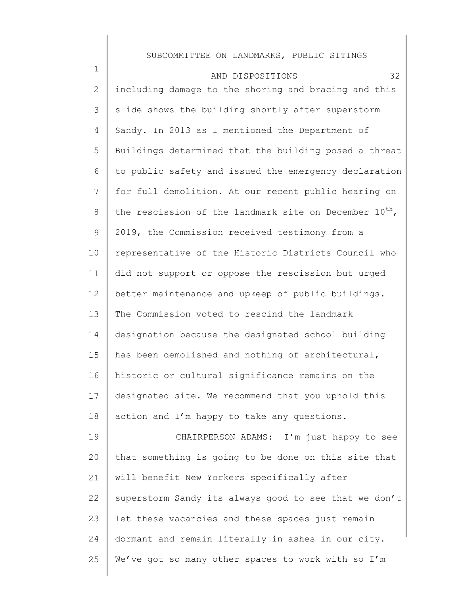| $\mathbf 1$  | 32<br>AND DISPOSITIONS                                             |
|--------------|--------------------------------------------------------------------|
| $\mathbf{2}$ | including damage to the shoring and bracing and this               |
| 3            | slide shows the building shortly after superstorm                  |
| 4            | Sandy. In 2013 as I mentioned the Department of                    |
| 5            | Buildings determined that the building posed a threat              |
| 6            | to public safety and issued the emergency declaration              |
| 7            | for full demolition. At our recent public hearing on               |
| 8            | the rescission of the landmark site on December 10 <sup>th</sup> , |
| 9            | 2019, the Commission received testimony from a                     |
| 10           | representative of the Historic Districts Council who               |
| 11           | did not support or oppose the rescission but urged                 |
| 12           | better maintenance and upkeep of public buildings.                 |
| 13           | The Commission voted to rescind the landmark                       |
| 14           | designation because the designated school building                 |
| 15           | has been demolished and nothing of architectural,                  |
| 16           | historic or cultural significance remains on the                   |
| 17           | designated site. We recommend that you uphold this                 |
| 18           | action and I'm happy to take any questions.                        |
| 19           | CHAIRPERSON ADAMS: I'm just happy to see                           |
| 20           | that something is going to be done on this site that               |
| 21           | will benefit New Yorkers specifically after                        |
| 22           | superstorm Sandy its always good to see that we don't              |
| 23           | let these vacancies and these spaces just remain                   |
| 24           | dormant and remain literally in ashes in our city.                 |
| 25           | We've got so many other spaces to work with so I'm                 |
|              |                                                                    |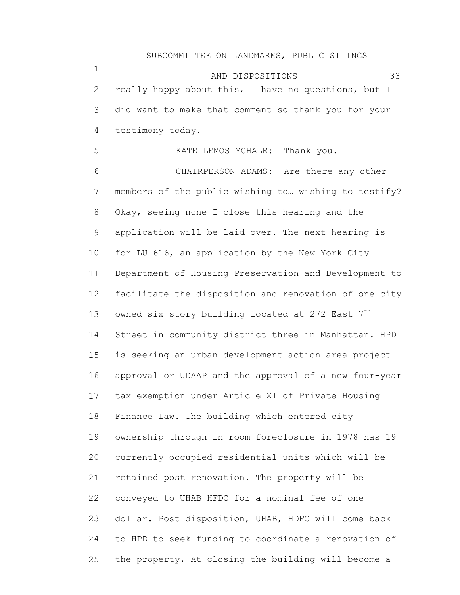2 3 4 AND DISPOSITIONS 33 really happy about this, I have no questions, but I did want to make that comment so thank you for your testimony today.

1

5

KATE LEMOS MCHALE: Thank you.

6 7 8 9 10 11 12 13 14 15 16 17 18 19 20 21 22 23 24 25 CHAIRPERSON ADAMS: Are there any other members of the public wishing to… wishing to testify? Okay, seeing none I close this hearing and the application will be laid over. The next hearing is for LU 616, an application by the New York City Department of Housing Preservation and Development to facilitate the disposition and renovation of one city owned six story building located at 272 East  $7<sup>th</sup>$ Street in community district three in Manhattan. HPD is seeking an urban development action area project approval or UDAAP and the approval of a new four-year tax exemption under Article XI of Private Housing Finance Law. The building which entered city ownership through in room foreclosure in 1978 has 19 currently occupied residential units which will be retained post renovation. The property will be conveyed to UHAB HFDC for a nominal fee of one dollar. Post disposition, UHAB, HDFC will come back to HPD to seek funding to coordinate a renovation of the property. At closing the building will become a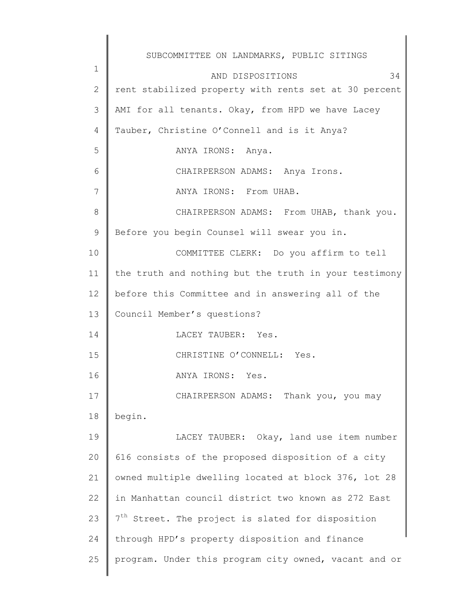|             | SUBCOMMITTEE ON LANDMARKS, PUBLIC SITINGS                     |
|-------------|---------------------------------------------------------------|
| $\mathbf 1$ | 34<br>AND DISPOSITIONS                                        |
| 2           | rent stabilized property with rents set at 30 percent         |
| 3           | AMI for all tenants. Okay, from HPD we have Lacey             |
| 4           | Tauber, Christine O'Connell and is it Anya?                   |
| 5           | ANYA IRONS: Anya.                                             |
| 6           | CHAIRPERSON ADAMS: Anya Irons.                                |
| 7           | ANYA IRONS: From UHAB.                                        |
| 8           | CHAIRPERSON ADAMS: From UHAB, thank you.                      |
| 9           | Before you begin Counsel will swear you in.                   |
| 10          | COMMITTEE CLERK: Do you affirm to tell                        |
| 11          | the truth and nothing but the truth in your testimony         |
| 12          | before this Committee and in answering all of the             |
| 13          | Council Member's questions?                                   |
| 14          | LACEY TAUBER: Yes.                                            |
| 15          | CHRISTINE O'CONNELL: Yes.                                     |
| 16          | ANYA IRONS: Yes.                                              |
| 17          | CHAIRPERSON ADAMS: Thank you, you may                         |
| 18          | begin.                                                        |
| 19          | LACEY TAUBER: Okay, land use item number                      |
| 20          | 616 consists of the proposed disposition of a city            |
| 21          | owned multiple dwelling located at block 376, lot 28          |
| 22          | in Manhattan council district two known as 272 East           |
| 23          | 7 <sup>th</sup> Street. The project is slated for disposition |
| 24          | through HPD's property disposition and finance                |
| 25          | program. Under this program city owned, vacant and or         |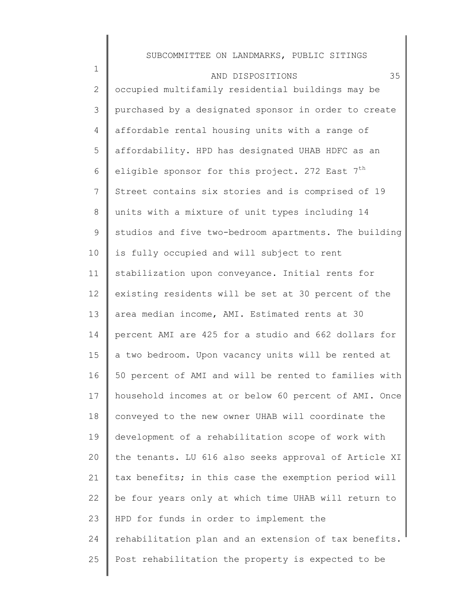| $\mathbf 1$     | 35<br>AND DISPOSITIONS                                      |
|-----------------|-------------------------------------------------------------|
| $\mathbf{2}$    | occupied multifamily residential buildings may be           |
| 3               | purchased by a designated sponsor in order to create        |
| 4               | affordable rental housing units with a range of             |
| 5               | affordability. HPD has designated UHAB HDFC as an           |
| 6               | eligible sponsor for this project. 272 East 7 <sup>th</sup> |
| $7\phantom{.0}$ | Street contains six stories and is comprised of 19          |
| 8               | units with a mixture of unit types including 14             |
| 9               | studios and five two-bedroom apartments. The building       |
| 10              | is fully occupied and will subject to rent                  |
| 11              | stabilization upon conveyance. Initial rents for            |
| 12              | existing residents will be set at 30 percent of the         |
| 13              | area median income, AMI. Estimated rents at 30              |
| 14              | percent AMI are 425 for a studio and 662 dollars for        |
| 15              | a two bedroom. Upon vacancy units will be rented at         |
| 16              | 50 percent of AMI and will be rented to families with       |
| 17              | household incomes at or below 60 percent of AMI. Once       |
| 18              | conveyed to the new owner UHAB will coordinate the          |
| 19              | development of a rehabilitation scope of work with          |
| 20              | the tenants. LU 616 also seeks approval of Article XI       |
| 21              | tax benefits; in this case the exemption period will        |
| 22              | be four years only at which time UHAB will return to        |
| 23              | HPD for funds in order to implement the                     |
| 24              | rehabilitation plan and an extension of tax benefits.       |
| 25              | Post rehabilitation the property is expected to be          |
|                 |                                                             |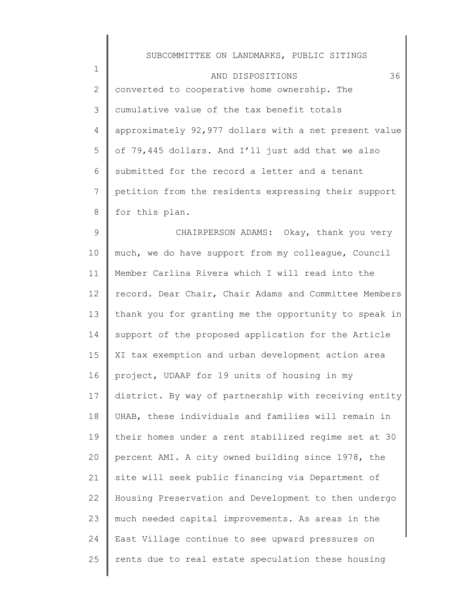1

|   | AND DISPOSITIONS                                      | 36 |
|---|-------------------------------------------------------|----|
| 2 | converted to cooperative home ownership. The          |    |
| 3 | cumulative value of the tax benefit totals            |    |
| 4 | approximately 92,977 dollars with a net present value |    |
| 5 | of 79,445 dollars. And I'll just add that we also     |    |
| 6 | submitted for the record a letter and a tenant        |    |
|   | petition from the residents expressing their support  |    |
| 8 | for this plan.                                        |    |

9 10 11 12 13 14 15 16 17 18 19 20 21 22 23 24 25 CHAIRPERSON ADAMS: Okay, thank you very much, we do have support from my colleague, Council Member Carlina Rivera which I will read into the record. Dear Chair, Chair Adams and Committee Members thank you for granting me the opportunity to speak in support of the proposed application for the Article XI tax exemption and urban development action area project, UDAAP for 19 units of housing in my district. By way of partnership with receiving entity UHAB, these individuals and families will remain in their homes under a rent stabilized regime set at 30 percent AMI. A city owned building since 1978, the site will seek public financing via Department of Housing Preservation and Development to then undergo much needed capital improvements. As areas in the East Village continue to see upward pressures on rents due to real estate speculation these housing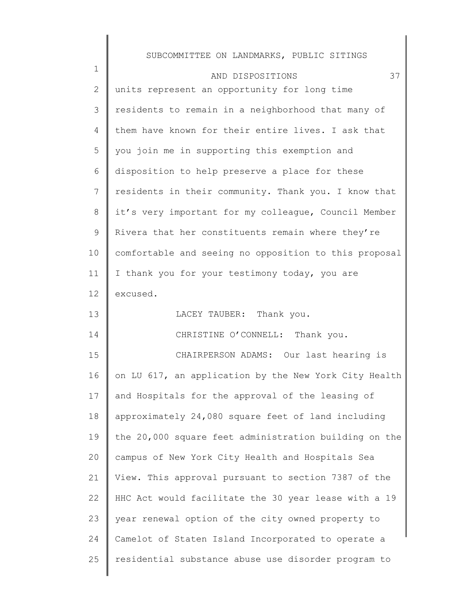| $\mathbf 1$     | 37<br>AND DISPOSITIONS                                |
|-----------------|-------------------------------------------------------|
| 2               | units represent an opportunity for long time          |
| 3               | residents to remain in a neighborhood that many of    |
| 4               | them have known for their entire lives. I ask that    |
| 5               | you join me in supporting this exemption and          |
| 6               | disposition to help preserve a place for these        |
| $7\phantom{.0}$ | residents in their community. Thank you. I know that  |
| 8               | it's very important for my colleague, Council Member  |
| 9               | Rivera that her constituents remain where they're     |
| 10              | comfortable and seeing no opposition to this proposal |
| 11              | I thank you for your testimony today, you are         |
| 12              | excused.                                              |
| 13              | LACEY TAUBER: Thank you.                              |
| 14              | CHRISTINE O'CONNELL: Thank you.                       |
| 15              | CHAIRPERSON ADAMS: Our last hearing is                |
| 16              | on LU 617, an application by the New York City Health |
| 17              | and Hospitals for the approval of the leasing of      |
| 18              | approximately 24,080 square feet of land including    |
| 19              | the 20,000 square feet administration building on the |
| 20              | campus of New York City Health and Hospitals Sea      |
| 21              | View. This approval pursuant to section 7387 of the   |
| 22              | HHC Act would facilitate the 30 year lease with a 19  |
| 23              | year renewal option of the city owned property to     |
| 24              | Camelot of Staten Island Incorporated to operate a    |
| 25              | residential substance abuse use disorder program to   |
|                 |                                                       |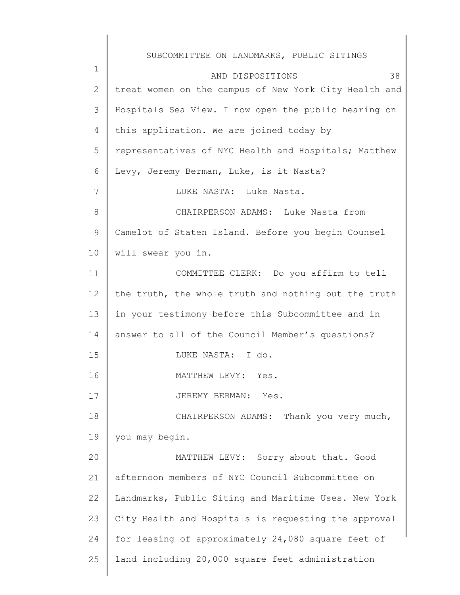1 2 3 4 5 6 7 8 9 10 11 12 13 14 15 16 17 18 19 20 21 22 23 24 25 SUBCOMMITTEE ON LANDMARKS, PUBLIC SITINGS AND DISPOSITIONS 38 treat women on the campus of New York City Health and Hospitals Sea View. I now open the public hearing on this application. We are joined today by representatives of NYC Health and Hospitals; Matthew Levy, Jeremy Berman, Luke, is it Nasta? LUKE NASTA: Luke Nasta. CHAIRPERSON ADAMS: Luke Nasta from Camelot of Staten Island. Before you begin Counsel will swear you in. COMMITTEE CLERK: Do you affirm to tell the truth, the whole truth and nothing but the truth in your testimony before this Subcommittee and in answer to all of the Council Member's questions? LUKE NASTA: I do. MATTHEW LEVY: Yes. JEREMY BERMAN: Yes. CHAIRPERSON ADAMS: Thank you very much, you may begin. MATTHEW LEVY: Sorry about that. Good afternoon members of NYC Council Subcommittee on Landmarks, Public Siting and Maritime Uses. New York City Health and Hospitals is requesting the approval for leasing of approximately 24,080 square feet of land including 20,000 square feet administration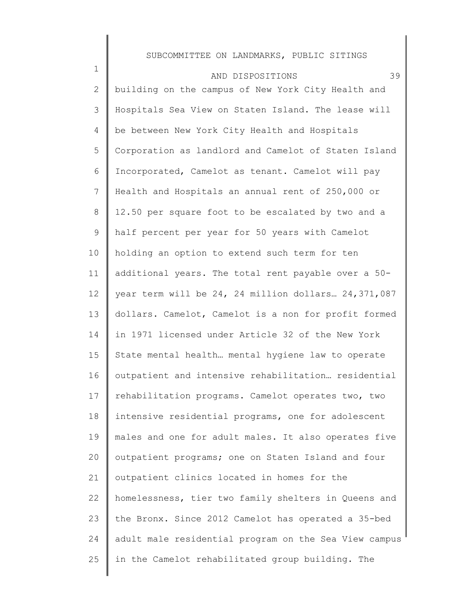| $\mathbf 1$  | 39<br>AND DISPOSITIONS                                |
|--------------|-------------------------------------------------------|
| $\mathbf{2}$ | building on the campus of New York City Health and    |
| 3            | Hospitals Sea View on Staten Island. The lease will   |
| 4            | be between New York City Health and Hospitals         |
| 5            | Corporation as landlord and Camelot of Staten Island  |
| 6            | Incorporated, Camelot as tenant. Camelot will pay     |
| 7            | Health and Hospitals an annual rent of 250,000 or     |
| $8\,$        | 12.50 per square foot to be escalated by two and a    |
| 9            | half percent per year for 50 years with Camelot       |
| 10           | holding an option to extend such term for ten         |
| 11           | additional years. The total rent payable over a 50-   |
| 12           | year term will be 24, 24 million dollars 24,371,087   |
| 13           | dollars. Camelot, Camelot is a non for profit formed  |
| 14           | in 1971 licensed under Article 32 of the New York     |
| 15           | State mental health mental hygiene law to operate     |
| 16           | outpatient and intensive rehabilitation residential   |
| 17           | rehabilitation programs. Camelot operates two, two    |
| 18           | intensive residential programs, one for adolescent    |
| 19           | males and one for adult males. It also operates five  |
| 20           | outpatient programs; one on Staten Island and four    |
| 21           | outpatient clinics located in homes for the           |
| 22           | homelessness, tier two family shelters in Queens and  |
| 23           | the Bronx. Since 2012 Camelot has operated a 35-bed   |
| 24           | adult male residential program on the Sea View campus |
| 25           | in the Camelot rehabilitated group building. The      |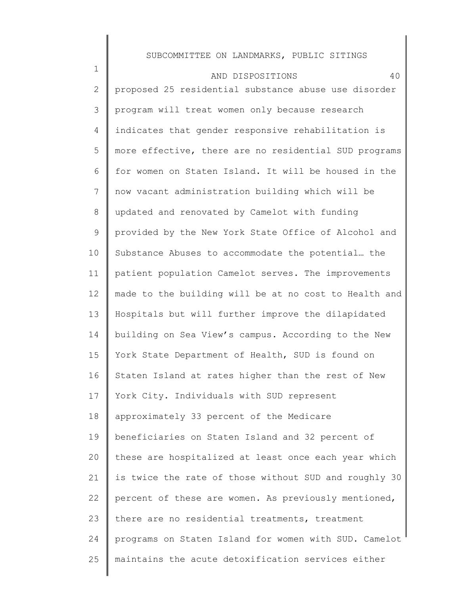1 2 3 4 5 6 7 8 9 10 11 12 13 14 15 16 17 18 19 20 21 22 23 24 25 AND DISPOSITIONS 40 proposed 25 residential substance abuse use disorder program will treat women only because research indicates that gender responsive rehabilitation is more effective, there are no residential SUD programs for women on Staten Island. It will be housed in the now vacant administration building which will be updated and renovated by Camelot with funding provided by the New York State Office of Alcohol and Substance Abuses to accommodate the potential… the patient population Camelot serves. The improvements made to the building will be at no cost to Health and Hospitals but will further improve the dilapidated building on Sea View's campus. According to the New York State Department of Health, SUD is found on Staten Island at rates higher than the rest of New York City. Individuals with SUD represent approximately 33 percent of the Medicare beneficiaries on Staten Island and 32 percent of these are hospitalized at least once each year which is twice the rate of those without SUD and roughly 30 percent of these are women. As previously mentioned, there are no residential treatments, treatment programs on Staten Island for women with SUD. Camelot maintains the acute detoxification services either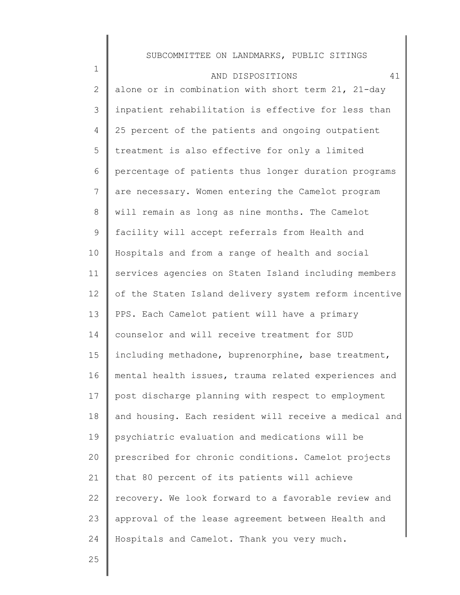| $\mathbf 1$ | 41<br>AND DISPOSITIONS                                |
|-------------|-------------------------------------------------------|
| 2           | alone or in combination with short term 21, 21-day    |
| 3           | inpatient rehabilitation is effective for less than   |
| 4           | 25 percent of the patients and ongoing outpatient     |
| 5           | treatment is also effective for only a limited        |
| 6           | percentage of patients thus longer duration programs  |
| 7           | are necessary. Women entering the Camelot program     |
| 8           | will remain as long as nine months. The Camelot       |
| 9           | facility will accept referrals from Health and        |
| 10          | Hospitals and from a range of health and social       |
| 11          | services agencies on Staten Island including members  |
| 12          | of the Staten Island delivery system reform incentive |
| 13          | PPS. Each Camelot patient will have a primary         |
| 14          | counselor and will receive treatment for SUD          |
| 15          | including methadone, buprenorphine, base treatment,   |
| 16          | mental health issues, trauma related experiences and  |
| 17          | post discharge planning with respect to employment    |
| 18          | and housing. Each resident will receive a medical and |
| 19          | psychiatric evaluation and medications will be        |
| 20          | prescribed for chronic conditions. Camelot projects   |
| 21          | that 80 percent of its patients will achieve          |
| 22          | recovery. We look forward to a favorable review and   |
| 23          | approval of the lease agreement between Health and    |
| 24          | Hospitals and Camelot. Thank you very much.           |
|             |                                                       |

25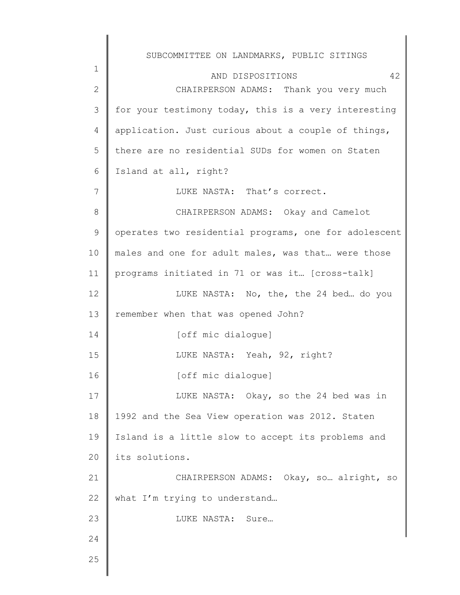|             | SUBCOMMITTEE ON LANDMARKS, PUBLIC SITINGS             |
|-------------|-------------------------------------------------------|
| $\mathbf 1$ | 42<br>AND DISPOSITIONS                                |
| 2           | CHAIRPERSON ADAMS: Thank you very much                |
| 3           | for your testimony today, this is a very interesting  |
| 4           | application. Just curious about a couple of things,   |
| 5           | there are no residential SUDs for women on Staten     |
| 6           | Island at all, right?                                 |
| 7           | LUKE NASTA: That's correct.                           |
| 8           | CHAIRPERSON ADAMS: Okay and Camelot                   |
| 9           | operates two residential programs, one for adolescent |
| 10          | males and one for adult males, was that were those    |
| 11          | programs initiated in 71 or was it [cross-talk]       |
| 12          | LUKE NASTA: No, the, the 24 bed do you                |
| 13          | remember when that was opened John?                   |
| 14          | [off mic dialogue]                                    |
| 15          | LUKE NASTA: Yeah, 92, right?                          |
| 16          | [off mic dialogue]                                    |
| 17          | LUKE NASTA: Okay, so the 24 bed was in                |
| 18          | 1992 and the Sea View operation was 2012. Staten      |
| 19          | Island is a little slow to accept its problems and    |
| 20          | its solutions.                                        |
| 21          | CHAIRPERSON ADAMS: Okay, so  alright, so              |
| 22          | what I'm trying to understand                         |
| 23          | LUKE NASTA: Sure                                      |
| 24          |                                                       |
| 25          |                                                       |
|             |                                                       |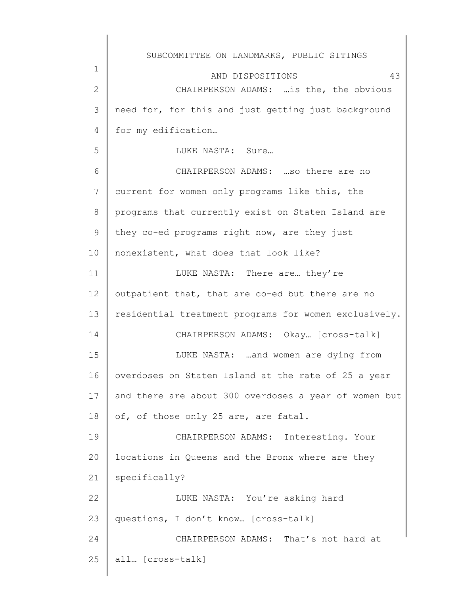|                | SUBCOMMITTEE ON LANDMARKS, PUBLIC SITINGS             |
|----------------|-------------------------------------------------------|
| $\mathbf 1$    | 43<br>AND DISPOSITIONS                                |
| 2              | CHAIRPERSON ADAMS:  is the, the obvious               |
| 3              | need for, for this and just getting just background   |
| $\overline{4}$ | for my edification                                    |
| 5              | LUKE NASTA: Sure                                      |
| 6              | CHAIRPERSON ADAMS:  so there are no                   |
| 7              | current for women only programs like this, the        |
| 8              | programs that currently exist on Staten Island are    |
| 9              | they co-ed programs right now, are they just          |
| 10             | nonexistent, what does that look like?                |
| 11             | LUKE NASTA: There are they're                         |
| 12             | outpatient that, that are co-ed but there are no      |
| 13             | residential treatment programs for women exclusively. |
| 14             | CHAIRPERSON ADAMS: Okay [cross-talk]                  |
| 15             | LUKE NASTA: and women are dying from                  |
| 16             | overdoses on Staten Island at the rate of 25 a year   |
| 17             | and there are about 300 overdoses a year of women but |
| 18             | of, of those only 25 are, are fatal.                  |
| 19             | CHAIRPERSON ADAMS: Interesting. Your                  |
| 20             | locations in Queens and the Bronx where are they      |
| 21             | specifically?                                         |
| 22             | LUKE NASTA: You're asking hard                        |
| 23             | questions, I don't know [cross-talk]                  |
| 24             | CHAIRPERSON ADAMS: That's not hard at                 |
| 25             | all [cross-talk]                                      |
|                |                                                       |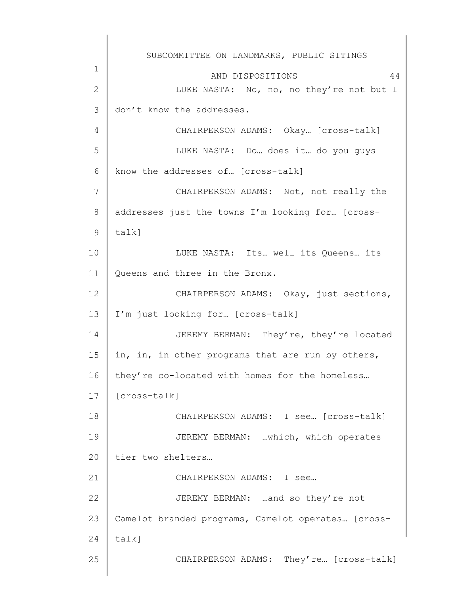|              | SUBCOMMITTEE ON LANDMARKS, PUBLIC SITINGS          |
|--------------|----------------------------------------------------|
| 1            | 44<br>AND DISPOSITIONS                             |
| $\mathbf{2}$ | LUKE NASTA: No, no, no they're not but I           |
| 3            | don't know the addresses.                          |
| 4            | CHAIRPERSON ADAMS: Okay [cross-talk]               |
| 5            | LUKE NASTA: Do does it do you guys                 |
| 6            | know the addresses of [cross-talk]                 |
| 7            | CHAIRPERSON ADAMS: Not, not really the             |
| $8\,$        | addresses just the towns I'm looking for [cross-   |
| 9            | $talk$ ]                                           |
| 10           | LUKE NASTA: Its well its Queens its                |
| 11           | Queens and three in the Bronx.                     |
| 12           | CHAIRPERSON ADAMS: Okay, just sections,            |
| 13           | I'm just looking for [cross-talk]                  |
| 14           | JEREMY BERMAN: They're, they're located            |
| 15           | in, in, in other programs that are run by others,  |
| 16           | they're co-located with homes for the homeless     |
| 17           | [cross-talk]                                       |
| 18           | CHAIRPERSON ADAMS: I see [cross-talk]              |
| 19           | JEREMY BERMAN: which, which operates               |
| 20           | tier two shelters                                  |
| 21           | CHAIRPERSON ADAMS: I see                           |
| 22           | JEREMY BERMAN: and so they're not                  |
| 23           | Camelot branded programs, Camelot operates [cross- |
| 24           | $talk$ ]                                           |
| 25           | CHAIRPERSON ADAMS: They're [cross-talk]            |
|              |                                                    |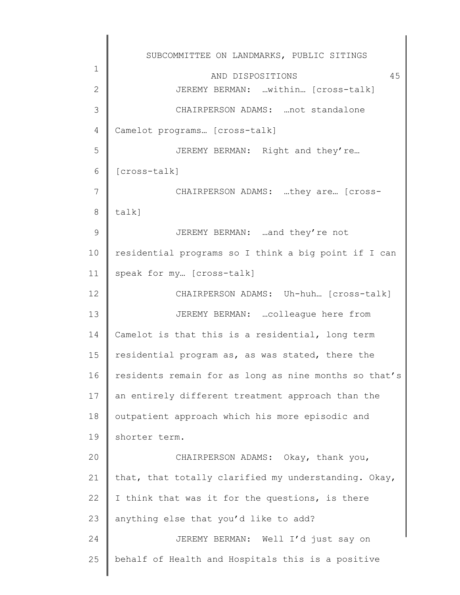1 2 3 4 5 6 7 8 9 10 11 12 13 14 15 16 17 18 19 20 21 22 23 24 25 SUBCOMMITTEE ON LANDMARKS, PUBLIC SITINGS AND DISPOSITIONS 45 JEREMY BERMAN: …within… [cross-talk] CHAIRPERSON ADAMS: …not standalone Camelot programs… [cross-talk] JEREMY BERMAN: Right and they're… [cross-talk] CHAIRPERSON ADAMS: …they are… [crosstalk] JEREMY BERMAN: …and they're not residential programs so I think a big point if I can speak for my… [cross-talk] CHAIRPERSON ADAMS: Uh-huh… [cross-talk] JEREMY BERMAN: …colleague here from Camelot is that this is a residential, long term residential program as, as was stated, there the residents remain for as long as nine months so that's an entirely different treatment approach than the outpatient approach which his more episodic and shorter term. CHAIRPERSON ADAMS: Okay, thank you, that, that totally clarified my understanding. Okay, I think that was it for the questions, is there anything else that you'd like to add? JEREMY BERMAN: Well I'd just say on behalf of Health and Hospitals this is a positive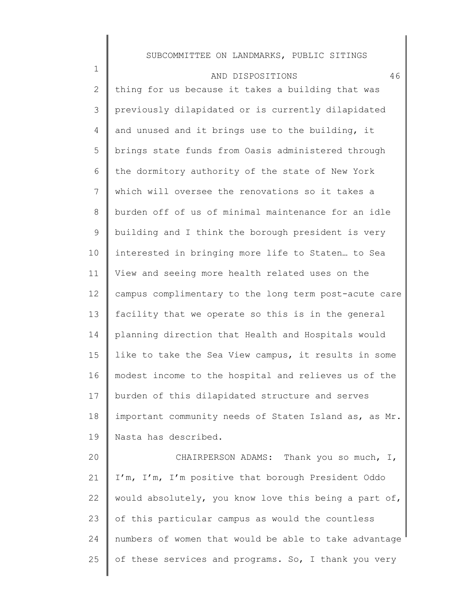| $\mathbf 1$  | 46<br>AND DISPOSITIONS                                |
|--------------|-------------------------------------------------------|
| $\mathbf{2}$ | thing for us because it takes a building that was     |
| 3            | previously dilapidated or is currently dilapidated    |
| 4            | and unused and it brings use to the building, it      |
| 5            | brings state funds from Oasis administered through    |
| 6            | the dormitory authority of the state of New York      |
| 7            | which will oversee the renovations so it takes a      |
| 8            | burden off of us of minimal maintenance for an idle   |
| 9            | building and I think the borough president is very    |
| 10           | interested in bringing more life to Staten to Sea     |
| 11           | View and seeing more health related uses on the       |
| 12           | campus complimentary to the long term post-acute care |
| 13           | facility that we operate so this is in the general    |
| 14           | planning direction that Health and Hospitals would    |
| 15           | like to take the Sea View campus, it results in some  |
| 16           | modest income to the hospital and relieves us of the  |
| 17           | burden of this dilapidated structure and serves       |
| 18           | important community needs of Staten Island as, as Mr. |
| 19           | Nasta has described.                                  |
| 20           | CHAIRPERSON ADAMS: Thank you so much, I,              |
| 21           | I'm, I'm, I'm positive that borough President Oddo    |
| 22           | would absolutely, you know love this being a part of, |
| 23           | of this particular campus as would the countless      |
| 24           | numbers of women that would be able to take advantage |
| 25           | of these services and programs. So, I thank you very  |
|              |                                                       |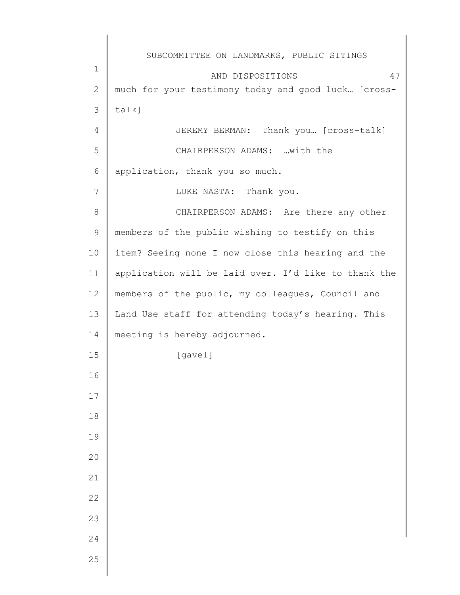|              | SUBCOMMITTEE ON LANDMARKS, PUBLIC SITINGS            |
|--------------|------------------------------------------------------|
| $\mathbf 1$  | 47<br>AND DISPOSITIONS                               |
| $\mathbf{2}$ | much for your testimony today and good luck [cross-  |
| 3            | $talk$ ]                                             |
| 4            | JEREMY BERMAN: Thank you [Cross-talk]                |
| 5            | CHAIRPERSON ADAMS: with the                          |
| 6            | application, thank you so much.                      |
| 7            | LUKE NASTA: Thank you.                               |
| 8            | CHAIRPERSON ADAMS: Are there any other               |
| $\mathsf 9$  | members of the public wishing to testify on this     |
| 10           | item? Seeing none I now close this hearing and the   |
| 11           | application will be laid over. I'd like to thank the |
| 12           | members of the public, my colleagues, Council and    |
| 13           | Land Use staff for attending today's hearing. This   |
| 14           | meeting is hereby adjourned.                         |
| 15           | [gavel]                                              |
| 16           |                                                      |
| 17           |                                                      |
| 18           |                                                      |
| 19           |                                                      |
| 20           |                                                      |
| 21           |                                                      |
| 22           |                                                      |
| 23           |                                                      |
| 24           |                                                      |
| 25           |                                                      |
|              |                                                      |